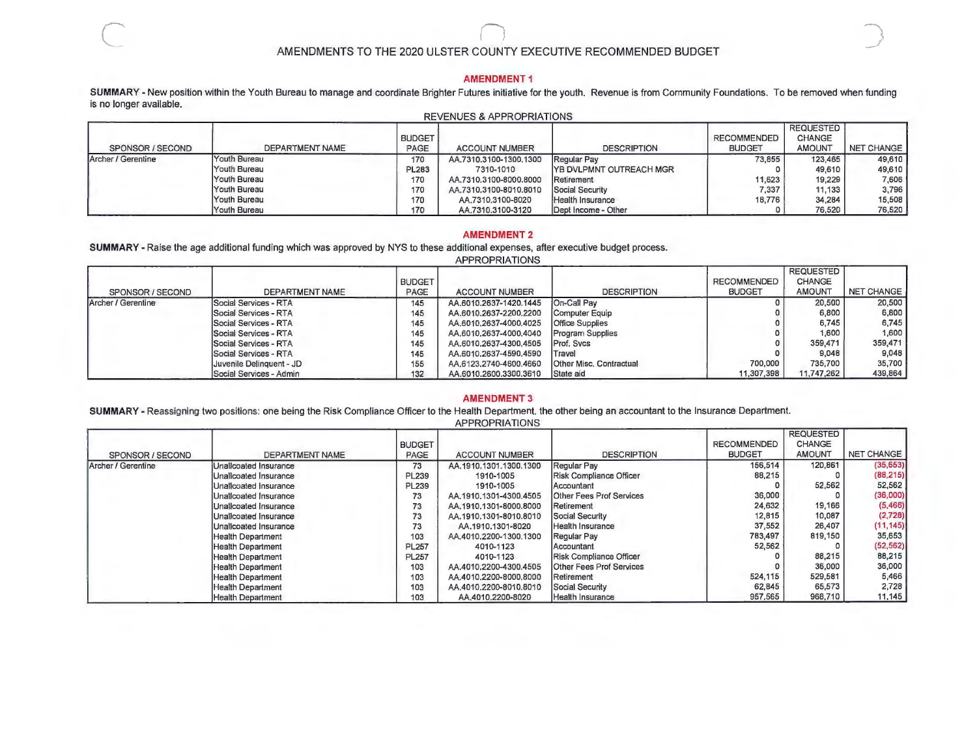#### **AMENDMENT1**

SUMMARY - New position within the Youth Bureau to manage and coordinate Brighter Futures initiative for the youth. Revenue is from Community Foundations. To be removed when funding is no longer available. *DEVENUES & APPROPRIATIONS* 

|                    | <b>REVENUES &amp; AFFRUERIATIONS</b> |               |                        |                                 |                    |                  |            |  |  |  |  |  |
|--------------------|--------------------------------------|---------------|------------------------|---------------------------------|--------------------|------------------|------------|--|--|--|--|--|
|                    |                                      |               |                        |                                 |                    | <b>REQUESTED</b> |            |  |  |  |  |  |
|                    |                                      | <b>BUDGET</b> |                        |                                 | <b>RECOMMENDED</b> | CHANGE           |            |  |  |  |  |  |
| SPONSOR / SECOND   | DEPARTMENT NAME                      | PAGE          | <b>ACCOUNT NUMBER</b>  | <b>DESCRIPTION</b>              | <b>BUDGET</b>      | <b>AMOUNT</b>    | NET CHANGE |  |  |  |  |  |
| Archer / Gerentine | Youth Bureau                         | 170           | AA.7310.3100-1300.1300 | Regular Pay                     | 73,855             | 123.465          | 49,610     |  |  |  |  |  |
|                    | Youth Bureau                         | PL283         | 7310-1010              | <b>IYB DVLPMNT OUTREACH MGR</b> |                    | 49,610           | 49,610     |  |  |  |  |  |
|                    | Youth Bureau                         | 170           | AA.7310.3100-8000.8000 | Retirement                      | 11,623             | 19.229           | 7.606      |  |  |  |  |  |
|                    | Youth Bureau                         | 170           | AA.7310.3100-8010.8010 | Social Security                 | 7,337              | 11,133           | 3,796      |  |  |  |  |  |
|                    | Youth Bureau                         | 170           | AA.7310.3100-8020      | Health Insurance                | 18,776             | 34.284           | 15,508     |  |  |  |  |  |
|                    | Youth Bureau                         | 170           | AA.7310.3100-3120      | Dept Income - Other             |                    | 76,520           | 76,520     |  |  |  |  |  |

#### **AMENDMENT 2**

**SUMMARY** - Raise the age additional funding which was approved by NYS to these additional expenses. after executive budget process.

|  | <b>APPROPRIATIONS</b> |
|--|-----------------------|
|  |                       |

|                                                   |                               |               |                        |                         |               | <b>REQUESTED</b> |            |
|---------------------------------------------------|-------------------------------|---------------|------------------------|-------------------------|---------------|------------------|------------|
|                                                   |                               | <b>BUDGET</b> |                        |                         | RECOMMENDED   | <b>CHANGE</b>    |            |
| SPONSOR / SECOND                                  | <b>DEPARTMENT NAME</b>        | PAGE          | <b>ACCOUNT NUMBER</b>  | <b>DESCRIPTION</b>      | <b>BUDGET</b> | <b>AMOUNT</b>    | NET CHANGE |
| Archer / Gerentine                                | Social Services - RTA         | 145           | AA.6010.2637-1420.1445 | On-Call Pay             |               | 20,500           | 20,500     |
|                                                   | Social Services - RTA         | 145           | AA.6010.2637-2200.2200 | Computer Equip          |               | 6,800            | 6,800      |
|                                                   | <b>ISocial Services - RTA</b> | 145           | AA.6010.2637-4000.4025 | <b>Office Supplies</b>  |               | 6.745            | 6,745      |
|                                                   | Social Services - RTA         | 145           | AA.6010.2637-4000.4040 | Program Supplies        |               | 1.600            | 1,600      |
|                                                   | Social Services - RTA         | 145           | AA.6010.2637-4300.4505 | <b>Prof.</b> Sycs       |               | 359,471          | 359,471    |
| Social Services - RTA<br>Juvenile Delinguent - JD |                               | 145           | AA.6010.2637-4590.4590 | <b>ITravel</b>          |               | 9,048            | 9.048      |
|                                                   |                               | 155           | AA.6123.2740-4600.4660 | Other Misc, Contractual | 700,000       | 735,700          | 35,700     |
|                                                   | Social Services - Admin       | 132           | AA.6010.2600.3300.3610 | State aid               | 11,307,398    | 11,747,262       | 439,864    |

#### **AMENDMENT 3**

**SUMMARY** - Reassigning two positions: one being the Risk Compliance Officer to the Health Department, the other being an accountant to the Insurance Department.

|                    |                          |               |                        |                          |                    | <b>REQUESTED</b> |            |
|--------------------|--------------------------|---------------|------------------------|--------------------------|--------------------|------------------|------------|
|                    |                          | <b>BUDGET</b> |                        |                          | <b>RECOMMENDED</b> | <b>CHANGE</b>    |            |
| SPONSOR / SECOND   | DEPARTMENT NAME          | PAGE          | <b>ACCOUNT NUMBER</b>  | <b>DESCRIPTION</b>       | <b>BUDGET</b>      | <b>AMOUNT</b>    | NET CHANGE |
| Archer / Gerentine | Unalicoated Insurance    | 73            | AA.1910.1301.1300.1300 | Regular Pay              | 156,514            | 120,861          | (35, 653)  |
|                    | Unallcoated Insurance    | <b>PL239</b>  | 1910-1005              | Risk Compliance Officer  | 88,215             |                  | (88,215)   |
|                    | Unalicoated Insurance    | <b>PL239</b>  | 1910-1005              | Accountant               |                    | 52,562           | 52,562     |
|                    | Unalicoated Insurance    | 73            | AA.1910.1301-4300.4505 | Other Fees Prof Services | 36,000             |                  | (36,000)   |
|                    | Unalicoated Insurance    | 73            | AA.1910.1301-8000.8000 | Retirement               | 24,632             | 19,166           | (5, 466)   |
|                    | Unalicoated Insurance    | 73            | AA.1910.1301-8010.8010 | Social Security          | 12,815             | 10,087           | (2,728)    |
|                    | Unalicoated Insurance    | 73            | AA.1910.1301-8020      | Health Insurance         | 37,552             | 26,407           | (11, 145)  |
|                    | <b>Health Department</b> | 103           | AA.4010.2200-1300.1300 | Regular Pay              | 783,497            | 819,150          | 35,653     |
|                    | <b>Health Department</b> | <b>PL257</b>  | 4010-1123              | Accountant               | 52,562             |                  | (52, 562)  |
|                    | <b>Health Department</b> | <b>PL257</b>  | 4010-1123              | Risk Compliance Officer  |                    | 88,215           | 88,215     |
|                    | <b>Health Department</b> | 103           | AA.4010.2200-4300.4505 | Other Fees Prof Services |                    | 36,000           | 36,000     |
|                    | <b>Health Department</b> | 103           | AA.4010.2200-8000.8000 | Retirement               | 524.115            | 529,581          | 5,466      |
|                    | <b>Health Department</b> | 103           | AA.4010.2200-8010.8010 | Social Security          | 62,845             | 65,573           | 2,728      |
|                    | <b>Health Department</b> | 103           | AA.4010.2200-8020      | Health Insurance         | 957.565            | 968,710          | 11,145     |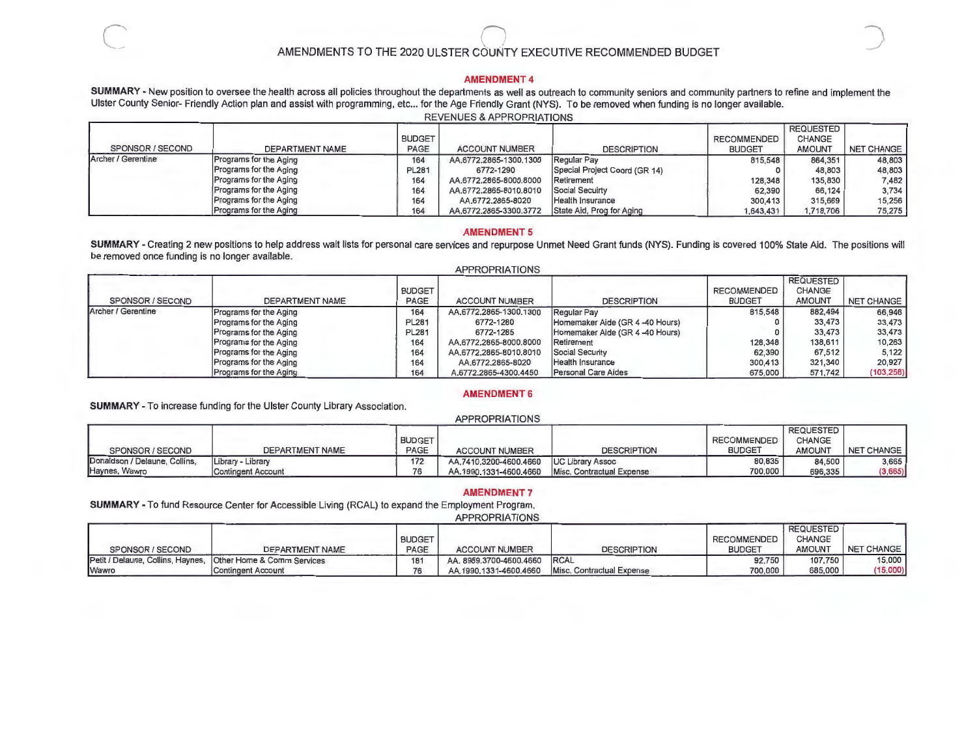# Example of the computer of the 2020 ULSTER COUNTY EXECUTIVE RECOMMENDED BUDGET

#### **AMENDMENT4**

SUMMARY - New position to oversee the health across all policies throughout the departments as well as outreach to community seniors and community partners to refine and implement the Ulster County Senior- Friendly Action plan and assist with programming, etc... for the Age Friendly Grant (NYS). To be removed when funding is no longer available. REVENUES & APPROPRIATIONS

| $11 - 111$         |                        |                              |                        |                               |                                     |                                                    |                   |  |  |  |  |
|--------------------|------------------------|------------------------------|------------------------|-------------------------------|-------------------------------------|----------------------------------------------------|-------------------|--|--|--|--|
| SPONSOR / SECOND   | DEPARTMENT NAME        | <b>BUDGET</b><br><b>PAGE</b> | <b>ACCOUNT NUMBER</b>  | <b>DESCRIPTION</b>            | <b>RECOMMENDED</b><br><b>BUDGET</b> | <b>REQUESTED</b><br><b>CHANGE</b><br><b>AMOUNT</b> | <b>NET CHANGE</b> |  |  |  |  |
| Archer / Gerentine | Programs for the Aging | 164                          | AA.6772.2865-1300.1300 | <b>Regular Pay</b>            | 815,548                             | 864,351                                            | 48,803            |  |  |  |  |
|                    | Programs for the Aging | <b>PL281</b>                 | 6772-1290              | Special Project Coord (GR 14) |                                     | 48,803                                             | 48,803            |  |  |  |  |
|                    | Programs for the Aging | 164                          | AA.6772,2865-8000.8000 | Retirement                    | 128,348                             | 135,830                                            | 7,482             |  |  |  |  |
|                    | Programs for the Aging | 164                          | AA.6772.2865-8010.8010 | Social Secuirty               | 62,390                              | 66,124                                             | 3,734             |  |  |  |  |
|                    | Programs for the Aging | 164                          | AA.6772.2865-8020      | <b>Health Insurance</b>       | 300,413                             | 315,669                                            | 15,256            |  |  |  |  |
|                    | Programs for the Aging | 164                          | AA.6772.2865-3300.3772 | State Aid, Prog for Aging     | 1,643,431                           | 1,718,706                                          | 75,275            |  |  |  |  |

#### **AMENDMENT 5**

SUMMARY - Creating 2 new positions to help address wait lists for personal care services and repurpose Unmet Need Grant funds (NYS). Funding is covered 100% State Aid. The positions will be removed once funding is no longer available.

|                    | <b>APPROPRIATIONS</b>  |                       |                        |                                |                                     |                                                    |                   |  |  |  |  |  |
|--------------------|------------------------|-----------------------|------------------------|--------------------------------|-------------------------------------|----------------------------------------------------|-------------------|--|--|--|--|--|
| SPONSOR / SECOND   | DEPARTMENT NAME        | <b>BUDGET</b><br>PAGE | <b>ACCOUNT NUMBER</b>  | <b>DESCRIPTION</b>             | <b>RECOMMENDED</b><br><b>BUDGET</b> | <b>REQUESTED</b><br><b>CHANGE</b><br><b>AMOUNT</b> | <b>NET CHANGE</b> |  |  |  |  |  |
| Archer / Gerentine | Programs for the Aging | 164                   | AA.6772.2865-1300.1300 | <b>Regular Pay</b>             | 815,548                             | 882,494                                            | 66,946            |  |  |  |  |  |
|                    | Programs for the Aging | <b>PL281</b>          | 6772-1280              | Homemaker Aide (GR 4-40 Hours) |                                     | 33,473                                             | 33,473            |  |  |  |  |  |
|                    | Programs for the Aging | <b>PL281</b>          | 6772-1285              | Homemaker Aide (GR 4-40 Hours) |                                     | 33,473                                             | 33,473            |  |  |  |  |  |
|                    | Programs for the Aging | 164                   | AA.6772.2865-8000.8000 | Retirement                     | 128,348                             | 138,611                                            | 10,263            |  |  |  |  |  |
|                    | Programs for the Aging | 164                   | AA.6772.2865-8010.8010 | Social Security                | 62,390                              | 67,512                                             | 5,122             |  |  |  |  |  |
|                    | Programs for the Aging | 164                   | AA.6772.2865-8020      | <b>Health Insurance</b>        | 300,413                             | 321,340                                            | 20,927            |  |  |  |  |  |
|                    | Programs for the Aging | 164                   | A.6772.2865-4300.4450  | <b>Personal Care Aides</b>     | 675,000                             | 571,742                                            | (103, 258)        |  |  |  |  |  |

#### **AMENDMENT 6**

**SUMMARY** - To increase funding for the Ulster County Library Association.

#### APPROPRIATIONS

|                               |                    |               |                        |                           |                    | <b>REQUESTED</b> |            |
|-------------------------------|--------------------|---------------|------------------------|---------------------------|--------------------|------------------|------------|
|                               |                    | <b>BUDGET</b> |                        |                           | <b>RECOMMENDED</b> | <b>CHANGE</b>    |            |
| SPONSOR / SECOND              | DEPARTMENT NAME    | <b>PAGE</b>   | <b>ACCOUNT NUMBER</b>  | <b>DESCRIPTION</b>        | <b>BUDGE</b>       | AMOUNT           | NET CHANGE |
| Donaldson / Delaune, Collins, | Library - Library  | 172           | AA.7410.3200-4600.4660 | <b>UC Library Assoc</b>   | 80,835             | 84,500           | 3,665      |
| Haynes, Wawro                 | Contingent Account |               | AA.1990.1331-4600.4660 | Misc. Contractual Expense | 700,000            | 696,335          | (3,665)    |

#### **AMENDMENT?**

**SUMMARY** - To fund Resource Center for Accessible Living (RCAL) to expand the Employment Program.

|                                                              |                    |               |                         |                           |                    | <b>REQUESTED</b> |                   |
|--------------------------------------------------------------|--------------------|---------------|-------------------------|---------------------------|--------------------|------------------|-------------------|
|                                                              |                    | <b>BUDGET</b> |                         |                           | <b>RECOMMENDED</b> | <b>CHANGE</b>    |                   |
| SPONSOR / SECOND                                             | DEPARTMENT NAME    | <b>PAGE</b>   | <b>ACCOUNT NUMBER</b>   | <b>DESCRIPTION</b>        | <b>BUDGE</b>       | <b>AMOUNT</b>    | <b>NET CHANGE</b> |
| Petit / Delaune, Collins, Haynes, Other Home & Comm Services |                    | 181           | AA, 8989,3700-4600,4660 | <b>RCAL</b>               | 92.750             | 107,750          | 15,000            |
| Wawro                                                        | Contingent Account |               | AA.1990.1331-4600.4660  | Misc. Contractual Expense | 700,000            | 685,000          | (15,000)          |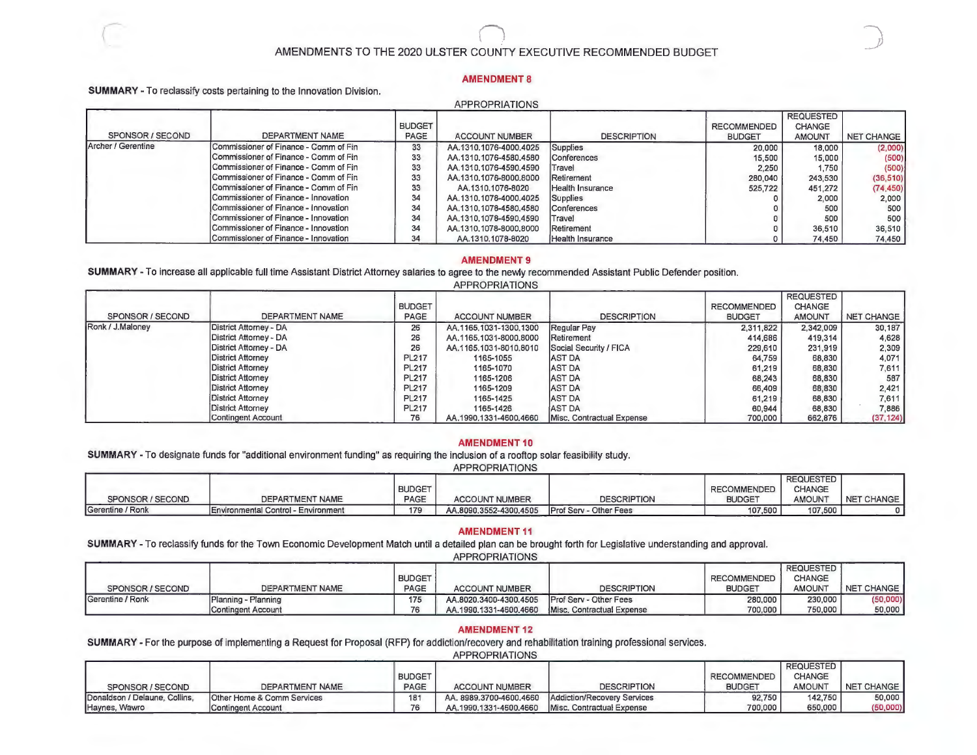$\mathbb{R}$ *\_)* 

#### **AMENDMENT 8**

**SUMMARY** - To reclassify costs pertaining to the Innovation Division.

|                                      | <b>APPROPRIATIONS</b>                 |                        |                        |                    |                              |                                                    |            |  |  |  |  |  |
|--------------------------------------|---------------------------------------|------------------------|------------------------|--------------------|------------------------------|----------------------------------------------------|------------|--|--|--|--|--|
| SPONSOR / SECOND                     | DEPARTMENT NAME                       | <b>BUDGET</b><br>PAGE  | <b>ACCOUNT NUMBER</b>  | <b>DESCRIPTION</b> | RECOMMENDED<br><b>BUDGET</b> | <b>REQUESTED</b><br><b>CHANGE</b><br><b>AMOUNT</b> | NET CHANGE |  |  |  |  |  |
| Archer / Gerentine                   | Commissioner of Finance - Comm of Fin | 33                     | AA.1310.1076-4000.4025 | Supplies           | 20,000                       | 18,000                                             | (2,000)    |  |  |  |  |  |
|                                      | Commissioner of Finance - Comm of Fin | 33                     | AA.1310.1076-4580.4580 | Conferences        | 15,500                       | 15,000                                             | (500)      |  |  |  |  |  |
|                                      | Commissioner of Finance - Comm of Fin | 33                     | AA.1310.1076-4590.4590 | Travel             | 2,250                        | 1,750                                              | (500)      |  |  |  |  |  |
|                                      | Commissioner of Finance - Comm of Fin | 33                     | AA.1310.1076-8000.8000 | Retirement         | 280,040                      | 243,530                                            | (36, 510)  |  |  |  |  |  |
|                                      | Commissioner of Finance - Comm of Fin | 33                     | AA.1310.1076-8020      | Health Insurance   | 525,722                      | 451.272                                            | (74, 450)  |  |  |  |  |  |
|                                      | Commissioner of Finance - Innovation  | 34                     | AA.1310.1078-4000.4025 | Supplies           |                              | 2,000                                              | 2,000      |  |  |  |  |  |
|                                      | Commissioner of Finance - Innovation  | 34                     | AA.1310.1078-4580.4580 | Conferences        |                              | 500                                                | 500        |  |  |  |  |  |
| Commissioner of Finance - Innovation | 34                                    | AA.1310.1078-4590.4590 | Travel                 |                    | 500                          | 500                                                |            |  |  |  |  |  |
|                                      | Commissioner of Finance - Innovation  | 34                     | AA.1310.1078-8000.8000 | <b>Retirement</b>  |                              | 36,510                                             | 36,510     |  |  |  |  |  |
|                                      | Commissioner of Finance - Innovation  | 34                     | AA.1310.1078-8020      | Health Insurance   |                              | 74,450                                             | 74,450     |  |  |  |  |  |

#### **AMENDMENT** 9

**SUMMARY·** To increase all applicable full time Assistant District Attorney salaries to agree to the newly recommended Assistant Public Defender position.

#### APPROPRIATIONS

|                  |                          |               |                        |                           |               | <b>REQUESTED</b> |                   |
|------------------|--------------------------|---------------|------------------------|---------------------------|---------------|------------------|-------------------|
|                  |                          | <b>BUDGET</b> |                        |                           | RECOMMENDED   | <b>CHANGE</b>    |                   |
| SPONSOR / SECOND | DEPARTMENT NAME          | PAGE          | <b>ACCOUNT NUMBER</b>  | <b>DESCRIPTION</b>        | <b>BUDGET</b> | <b>AMOUNT</b>    | <b>NET CHANGE</b> |
| Ronk / J.Maloney | District Attorney - DA   | 26            | AA.1165,1031-1300,1300 | Regular Pay               | 2,311,822     | 2,342,009        | 30,187            |
|                  | District Attorney - DA   | 26            | AA.1165,1031-8000.8000 | Retirement                | 414,686       | 419,314          | 4,628             |
|                  | District Attorney - DA   | 26            | AA.1165.1031-8010.8010 | Social Security / FICA    | 229,610       | 231,919          | 2,309             |
|                  | District Attorney        | <b>PL217</b>  | 1165-1055              | AST DA                    | 64.759        | 68,830           | 4,071             |
|                  | District Attorney        | <b>PL217</b>  | 1165-1070              | <b>AST DA</b>             | 61.219        | 68,830           | 7,611             |
|                  | <b>District Attorney</b> | <b>PL217</b>  | 1165-1206              | <b>AST DA</b>             | 68,243        | 68,830           | 587               |
|                  | <b>District Attorney</b> | <b>PL217</b>  | 1165-1209              | <b>AST DA</b>             | 66,409        | 68,830           | 2,421             |
|                  | District Attorney        | <b>PL217</b>  | 1165-1425              | <b>AST DA</b>             | 61,219        | 68,830           | 7,611             |
|                  | District Attorney        | <b>PL217</b>  | 1165-1426              | <b>AST DA</b>             | 60.944        | 68,830           | 7,886             |
|                  | Contingent Account       | 76            | AA.1990.1331-4600.4660 | Misc. Contractual Expense | 700,000       | 662,876          | (37, 124)         |

#### **AMENDMENT10**

**SUMMARY·** To designate funds for "additional environment funding" as requiring the inclusion of a rooftop solar feasibility study.

|                  |                                     |                       | <b>APPROPRIATIONS</b>  |                               |                                     |                                             |                   |
|------------------|-------------------------------------|-----------------------|------------------------|-------------------------------|-------------------------------------|---------------------------------------------|-------------------|
| SPONSOR / SECOND | DEPARTMENT NAME                     | <b>BUDGET</b><br>PAGE | <b>ACCOUNT NUMBER</b>  | <b>DESCRIPTION</b>            | <b>RECOMMENDED</b><br><b>BUDGET</b> | REQUESTED<br><b>CHANGE</b><br><b>AMOUNT</b> | <b>NET CHANGE</b> |
| Gerentine / Ronk | Environmental Control - Environment | 179                   | AA.8090.3552-4300.4505 | <b>Prof Serv - Other Fees</b> | 107,500                             | 107,500                                     |                   |

#### **AMENDMENT 11**

**SUMMARY** - To reclassify funds for the Town Economic Development Match until a detailed plan can be brought forth for Legislative understanding and approval.

|                  | <b>APPROPRIATIONS</b> |                       |                        |                               |                                     |                                                    |            |  |  |  |  |
|------------------|-----------------------|-----------------------|------------------------|-------------------------------|-------------------------------------|----------------------------------------------------|------------|--|--|--|--|
| SPONSOR / SECOND | DEPARTMENT NAME       | <b>BUDGET</b><br>PAGE | <b>ACCOUNT NUMBER</b>  | <b>DESCRIPTION</b>            | <b>RECOMMENDED</b><br><b>BUDGET</b> | <b>REQUESTED</b><br><b>CHANGE</b><br><b>AMOUNT</b> | NET CHANGE |  |  |  |  |
|                  |                       |                       |                        |                               |                                     |                                                    |            |  |  |  |  |
| Gerentine / Ronk | Planning - Planning   | 175                   | AA.8020.3400-4300.4505 | <b>Prof Serv - Other Fees</b> | 280,000                             | 230,000                                            | (50,000)   |  |  |  |  |
|                  | Contingent Account    | 76                    | AA.1990.1331-4600.4660 | Misc. Contractual Expense     | 700,000                             | 750,000                                            | 50,000     |  |  |  |  |

#### **AMENDMENT 12**

**SUMMARY** - For the purpose of implementing a Request for Proposal (RFP) for addiction/recovery and rehabilitation training professional services.

|                               |                            |               |                         |                             |                    | <b>REQUESTED</b> |            |
|-------------------------------|----------------------------|---------------|-------------------------|-----------------------------|--------------------|------------------|------------|
|                               |                            | <b>BUDGET</b> |                         |                             | <b>RECOMMENDED</b> | CHANGE           |            |
| SPONSOR / SECOND              | DEPARTMENT NAME            | PAGE          | <b>ACCOUNT NUMBER</b>   | <b>DESCRIPTION</b>          | <b>BUDGET</b>      | <b>AMOUNT</b>    | NET CHANGE |
| Donaldson / Delaune, Collins. | Other Home & Comm Services | 181           | AA. 8989.3700-4600.4660 | Addiction/Recovery Services | 92,750             | 142.750          | 50,000     |
| Haynes, Wawro                 | <b>Contingent Account</b>  | 76            | AA.1990.1331-4600.4660  | Misc. Contractual Expense   | 700,000            | 650,000          | (50,000)   |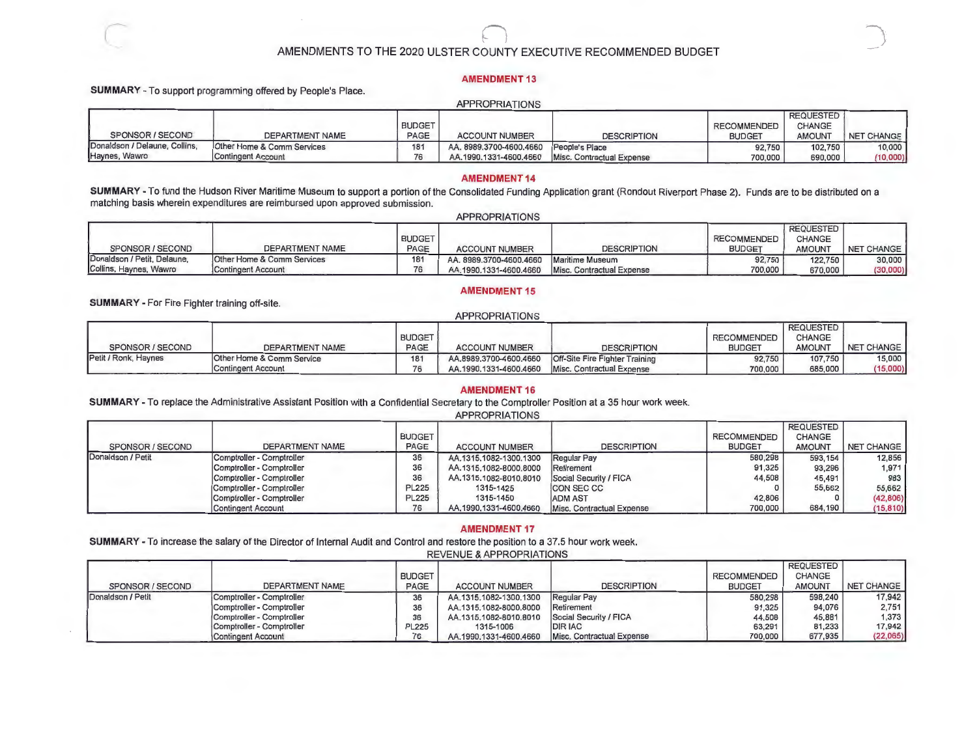$\bigcup$ 

#### **AMENDMENT1 3**

#### **SUMMARY** - To support programming offered by People's Place.

| APPROPRIATIONS                |                            |               |                         |                           |                    |                  |            |  |  |  |
|-------------------------------|----------------------------|---------------|-------------------------|---------------------------|--------------------|------------------|------------|--|--|--|
|                               |                            |               |                         |                           |                    | <b>REQUESTED</b> |            |  |  |  |
|                               |                            | <b>BUDGET</b> |                         |                           | <b>RECOMMENDED</b> | <b>CHANGE</b>    |            |  |  |  |
| SPONSOR / SECOND              | DEPARTMENT NAME            | <b>PAGE</b>   | <b>ACCOUNT NUMBER</b>   | <b>DESCRIPTION</b>        | <b>BUDGET</b>      | <b>AMOUNT</b>    | NET CHANGE |  |  |  |
| Donaldson / Delaune, Collins. | Other Home & Comm Services | 181           | AA. 8989.3700-4600.4660 | People's Place            | 92,750             | 102,750          | 10,000     |  |  |  |
| Haynes, Wawro                 | Contingent Account         | 76            | AA.1990.1331-4600.4660  | Misc. Contractual Expense | 700,000            | 690,000          | (10,000)   |  |  |  |

#### **AMENDMENT 14**

APPROPRIATIONS

SUMMARY - To fund the Hudson River Maritime Museum to support a portion of the Consolidated Funding Application grant (Rondout Riverport Phase 2). Funds are to be distributed on a matching basis wherein expenditures are reimbursed upon approved submission.

| <b>APPRUPRIATIONS</b>       |                            |               |                         |                           |                    |                  |                   |  |  |  |  |
|-----------------------------|----------------------------|---------------|-------------------------|---------------------------|--------------------|------------------|-------------------|--|--|--|--|
|                             |                            |               |                         |                           |                    | <b>REQUESTED</b> |                   |  |  |  |  |
|                             |                            | <b>BUDGET</b> |                         |                           | <b>RECOMMENDED</b> | <b>CHANGE</b>    |                   |  |  |  |  |
| SPONSOR / SECOND            | <b>DEPARTMENT NAME</b>     | <b>PAGE</b>   | <b>ACCOUNT NUMBER</b>   | <b>DESCRIPTION</b>        | <b>BUDGET</b>      | <b>AMOUNT</b>    | <b>NET CHANGE</b> |  |  |  |  |
| Donaldson / Petit, Delaune. | Other Home & Comm Services | 181           | AA, 8989,3700-4600,4660 | Maritime Museum           | 92,750             | 122,750          | 30,000            |  |  |  |  |
| Collins, Haynes, Wawro      | Contingent Account         |               | AA.1990.1331-4600.4660  | Misc. Contractual Expense | 700,000            | 670,000          | (30,000)          |  |  |  |  |

#### **AMENDMENT 15**

**SUMMARY** - For Fire Fighter training off-site.

|--|

|                      |                           |               |                        |                                       |               | <b>REQUESTED</b> |            |
|----------------------|---------------------------|---------------|------------------------|---------------------------------------|---------------|------------------|------------|
|                      |                           | <b>BUDGET</b> |                        |                                       | RECOMMENDED   | <b>CHANGE</b>    |            |
| SPONSOR / SECOND     | DEPARTMENT NAME           | PAGE          | <b>ACCOUNT NUMBER</b>  | <b>DESCRIPTION</b>                    | <b>BUDGET</b> | <b>AMOUNT</b>    | NET CHANGE |
| Petit / Ronk, Haynes | Other Home & Comm Service | 181           | AA.8989.3700-4600.4660 | <b>Off-Site Fire Fighter Training</b> | 92,750        | 107,750          | 15,000     |
|                      | Contingent Account        |               | AA.1990.1331-4600.4660 | Misc. Contractual Expense             | 700,000       | 685,000          | 15,000)    |

#### **AMENDMENT 16**

**SUMMARY** - To replace the Administrative Assistant Position with a Confidential Secretary to the Comptroller Position at a 35 hour work week.

APPROPRIATIONS

|                   |                           |               |                        |                           |                    | <b>REQUESTED</b> |            |
|-------------------|---------------------------|---------------|------------------------|---------------------------|--------------------|------------------|------------|
|                   |                           | <b>BUDGET</b> |                        |                           | <b>RECOMMENDED</b> | CHANGE           |            |
| SPONSOR / SECOND  | DEPARTMENT NAME           | PAGE          | <b>ACCOUNT NUMBER</b>  | <b>DESCRIPTION</b>        | <b>BUDGET</b>      | <b>AMOUNT</b>    | NET CHANGE |
| Donaldson / Petit | Comptroller - Comptroller | 36            | AA.1315.1082-1300.1300 | Regular Pay               | 580,298            | 593,154          | 12,856     |
|                   | Comptroller - Comptroller | 36            | AA.1315.1082-8000.8000 | <b>Retirement</b>         | 91,325             | 93,296           | 1.971      |
|                   | Comptroller - Comptroller | 36            | AA.1315.1082-8010.8010 | Social Security / FICA    | 44,508             | 45,491           | 983        |
|                   | Comptroller - Comptroller | <b>PL225</b>  | 1315-1425              | <b>CON SEC CC</b>         |                    | 55,662           | 55,662     |
|                   | Comptroller - Comptroller | <b>PL225</b>  | 1315-1450              | <b>ADM AST</b>            | 42,806             |                  | (42, 806)  |
|                   | Contingent Account        | 76            | AA.1990.1331-4600.4660 | Misc. Contractual Expense | 700,000            | 684,190          | (15, 810)  |

#### **AMENDMENT 17**

**SUMMARY** - To increase the salary of the Director of Internal Audit and Control and restore the position to a 37.5 hour work week.

#### REVENUE & APPROPRIATIONS

|                   |                           | <b>BUDGET</b> |                        |                           | <b>RECOMMENDED</b> | <b>REQUESTED</b><br><b>CHANGE</b> |            |
|-------------------|---------------------------|---------------|------------------------|---------------------------|--------------------|-----------------------------------|------------|
| SPONSOR / SECOND  | DEPARTMENT NAME           | PAGE          | <b>ACCOUNT NUMBER</b>  | <b>DESCRIPTION</b>        | <b>BUDGET</b>      | <b>AMOUNT</b>                     | NET CHANGE |
| Donaldson / Petit | Comptroller - Comptroller | 36            | AA.1315.1082-1300.1300 | Regular Pay               | 580,298            | 598,240                           | 17,942     |
|                   | Comptroller - Comptroller | 36            | AA.1315.1082-8000.8000 | Retirement                | 91,325             | 94,076                            | 2,751      |
|                   | Comptroller - Comptroller | 36            | AA.1315.1082-8010.8010 | Social Security / FICA    | 44,508             | 45,881                            | 1,373      |
|                   | Comptroller - Comptroller | <b>PL225</b>  | 1315-1006              | <b>DIRIAC</b>             | 63,291             | 81,233                            | 17,942     |
|                   | Contingent Account        | 76            | AA.1990.1331-4600.4660 | Misc. Contractual Expense | 700,000            | 677,935                           | (22,065)   |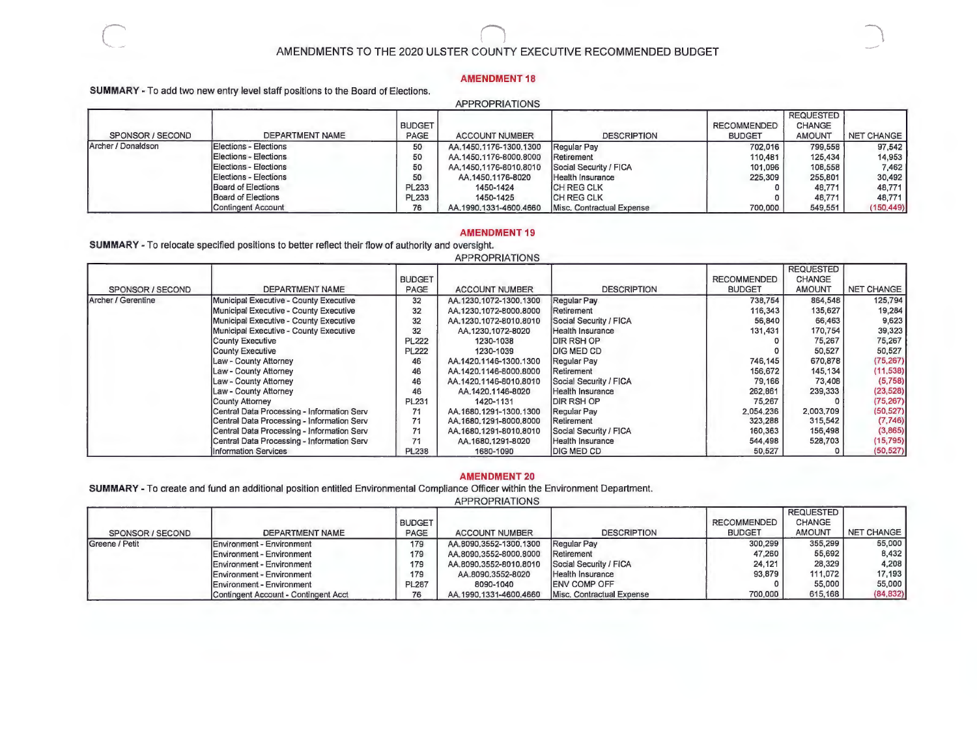$\overline{\phantom{a}}$ 

### **AMENDMENT 18**

**SUMMARY.** To add two new entry level staff positions to the Board of Elections.

|  |  | <b>APPROPRIATIONS</b> |
|--|--|-----------------------|
|--|--|-----------------------|

|                    |                       | <b>BUDGET</b> |                           |                           | <b>RECOMMENDED</b> | <b>REQUESTED</b><br><b>CHANGE</b> |            |
|--------------------|-----------------------|---------------|---------------------------|---------------------------|--------------------|-----------------------------------|------------|
| SPONSOR / SECOND   | DEPARTMENT NAME       | PAGE          | <b>ACCOUNT NUMBER</b>     | <b>DESCRIPTION</b>        | <b>BUDGET</b>      | <b>AMOUNT</b>                     | NET CHANGE |
| Archer / Donaldson | Elections - Elections | 50            | AA.1450.1176-1300.1300    | Regular Pay               | 702,016            | 799,558                           | 97,542     |
|                    | Elections - Elections | 50            | AA.1450.1176-8000.8000    | Retirement                | 110,481            | 125,434                           | 14,953     |
|                    | Elections - Elections | 50            | AA, 1450, 1176-8010, 8010 | Social Security / FICA    | 101,096            | 108,558                           | 7,462      |
|                    | Elections - Elections | 50            | AA.1450.1176-8020         | Health Insurance          | 225,309            | 255,801                           | 30,492     |
|                    | Board of Elections    | PL233         | 1450-1424                 | ICH REG CLK               |                    | 48,771                            | 48,771     |
|                    | Board of Elections    | PL233         | 1450-1425                 | <b>CH REG CLK</b>         |                    | 48,771                            | 48.771     |
|                    | Contingent Account    | 76            | AA.1990.1331-4600.4660    | Misc. Contractual Expense | 700,000            | 549,551                           | (150, 449) |

#### **AMENDMENT 19**

**SUMMARY·** To relocate specified positions to better reflect their flow of authority and oversight.

|                                                                                                                                                                                                                      |                                            |                        | <b>APPROPRIATIONS</b>  |                        |                                     |                                                    |                   |
|----------------------------------------------------------------------------------------------------------------------------------------------------------------------------------------------------------------------|--------------------------------------------|------------------------|------------------------|------------------------|-------------------------------------|----------------------------------------------------|-------------------|
| SPONSOR / SECOND                                                                                                                                                                                                     | DEPARTMENT NAME                            | <b>BUDGET</b><br>PAGE  | <b>ACCOUNT NUMBER</b>  | <b>DESCRIPTION</b>     | <b>RECOMMENDED</b><br><b>BUDGET</b> | <b>REQUESTED</b><br><b>CHANGE</b><br><b>AMOUNT</b> | <b>NET CHANGE</b> |
| Archer / Gerentine                                                                                                                                                                                                   | Municipal Executive - County Executive     | 32                     | AA.1230.1072-1300.1300 | Regular Pay            | 738,754                             | 864,548                                            | 125,794           |
| Municipal Executive - County Executive<br>Municipal Executive - County Executive<br>Municipal Executive - County Executive<br>County Executive<br>County Executive<br>Law - County Attorney<br>Law - County Attorney | 32                                         | AA,1230,1072-8000,8000 | Retirement             | 116,343                | 135,627                             | 19,284                                             |                   |
|                                                                                                                                                                                                                      | 32                                         | AA,1230,1072-8010,8010 | Social Security / FICA | 56,840                 | 66,463                              | 9,623                                              |                   |
|                                                                                                                                                                                                                      | 32                                         | AA.1230.1072-8020      | Health Insurance       | 131,431                | 170,754                             | 39,323                                             |                   |
|                                                                                                                                                                                                                      | <b>PL222</b>                               | 1230-1038              | DIR RSH OP             |                        | 75,267                              | 75,267                                             |                   |
|                                                                                                                                                                                                                      | <b>PL222</b>                               | 1230-1039              | DIG MED CD             |                        | 50,527                              | 50,527                                             |                   |
|                                                                                                                                                                                                                      | 46                                         | AA.1420.1146-1300.1300 | Regular Pay            | 746,145                | 670,878                             | (75, 267)                                          |                   |
|                                                                                                                                                                                                                      |                                            | 46                     | AA.1420.1146-8000.8000 | Retirement             | 156,672                             | 145,134                                            | (11, 538)         |
|                                                                                                                                                                                                                      | Law - County Attorney                      | 46                     | AA.1420.1146-8010.8010 | Social Security / FICA | 79,166                              | 73,408                                             | (5,758)           |
|                                                                                                                                                                                                                      | Law - County Attorney                      | 46                     | AA.1420.1146-8020      | Health Insurance       | 262,861                             | 239,333                                            | (23, 528)         |
|                                                                                                                                                                                                                      | County Attorney                            | <b>PL231</b>           | 1420-1131              | <b>DIR RSH OP</b>      | 75,267                              |                                                    | (75, 267)         |
|                                                                                                                                                                                                                      | Central Data Processing - Information Serv |                        | AA.1680.1291-1300.1300 | Regular Pay            | 2,054,236                           | 2,003,709                                          | (50, 527)         |
|                                                                                                                                                                                                                      | Central Data Processing - Information Serv | 71                     | AA.1680.1291-8000.8000 | Retirement             | 323,288                             | 315,542                                            | (7,746)           |
|                                                                                                                                                                                                                      | Central Data Processing - Information Serv | 71                     | AA.1680.1291-8010.8010 | Social Security / FICA | 160,363                             | 156,498                                            | (3,865)           |
|                                                                                                                                                                                                                      | Central Data Processing - Information Serv | 71                     | AA.1680.1291-8020      | Health Insurance       | 544,498                             | 528,703                                            | (15, 795)         |
|                                                                                                                                                                                                                      | <b>Information Services</b>                | <b>PL238</b>           | 1680-1090              | <b>DIG MED CD</b>      | 50,527                              |                                                    | (50, 527)         |

#### **AMENDMENT 20**

**SUMMARY.** To create and fund an additional position entitled Environmental Compliance Officer within the Environment Department.

|                  |                                      |               |                        |                           |               | <b>REQUESTED</b> |                   |
|------------------|--------------------------------------|---------------|------------------------|---------------------------|---------------|------------------|-------------------|
|                  |                                      | <b>BUDGET</b> |                        |                           | RECOMMENDED   | <b>CHANGE</b>    |                   |
| SPONSOR / SECOND | DEPARTMENT NAME                      | PAGE          | <b>ACCOUNT NUMBER</b>  | <b>DESCRIPTION</b>        | <b>BUDGET</b> | <b>AMOUNT</b>    | <b>NET CHANGE</b> |
| Greene / Petit   | Environment - Environment            | 179           | AA.8090.3552-1300.1300 | Regular Pay               | 300.299       | 355,299          | 55,000            |
|                  | Environment - Environment            | 179           | AA.8090.3552-8000.8000 | Retirement                | 47.260        | 55,692           | 8,432             |
|                  | Environment - Environment            | 179           | AA.8090.3552-8010.8010 | Social Security / FICA    | 24.121        | 28,329           | 4.208             |
|                  | Environment - Environment            | 179           | AA.8090.3552-8020      | Health Insurance          | 93,879        | 111.072          | 17.193            |
|                  | Environment - Environment            | <b>PL287</b>  | 8090-1040              | <b>ENV COMP OFF</b>       |               | 55,000           | 55,000            |
|                  | Contingent Account - Contingent Acct | 76            | AA.1990.1331-4600.4660 | Misc. Contractual Expense | 700,000       | 615,168          | (84, 832)         |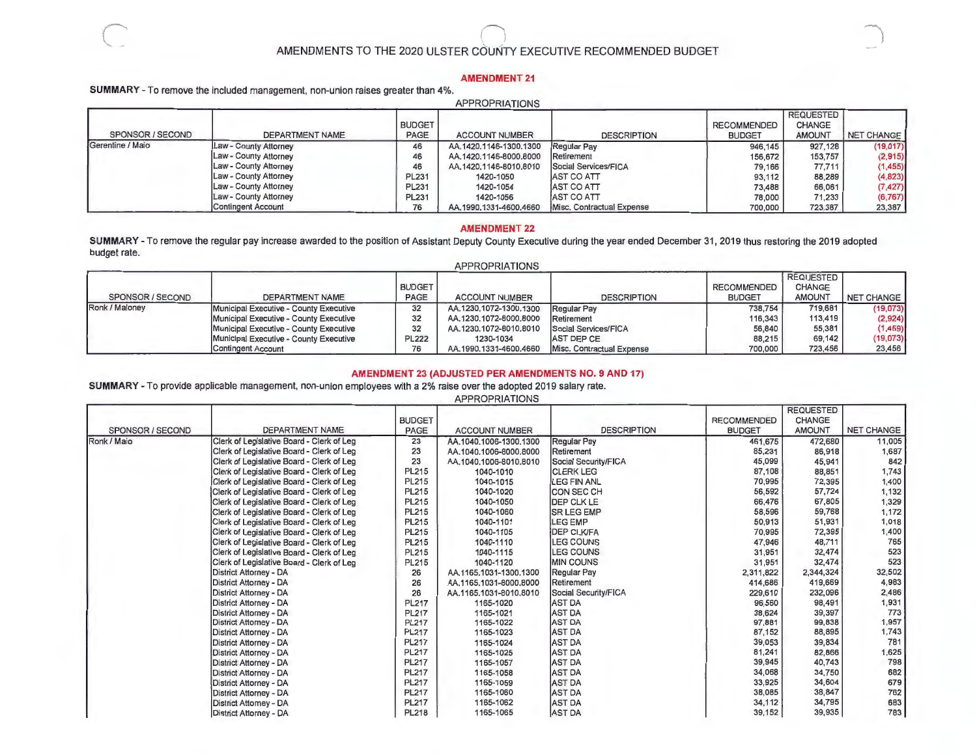-·)

#### **AMENDMENT 21**

**SUMMARY** - To remove the included management, non-union raises greater than 4%.

#### APPROPRIATIONS BUDGET <br>
PAGE ACCOUNT NUMBER DESCRIPTION RUDGET SPONSOR/SECOND DEPARTMENT NAME PAGE ACCOUNT NUMBER DESCRIPTION BUDGET Gerentine / Maio **County Attorney 1998**<br>
Law - County Attorney 1998, 145 AA.1420.1146-8000.8000 Retirement 156,672 Law - County Attorney 46 AA.1420.1146-8000.8000 Retirement 156,672 46 AA.1420.1146-8010.8010 Social Services/FICA 79,166 79,166<br>PL231 1420-1050 AST CO ATT Law - County Attorney PL231 1420-1050 ASTCOATI 93,112 Law - County Attorney PL231 1420-1054 ASTCOATI 73,488 Law - County Attorney PL231 1420-1056 ASTCOATI 78,000 AA.1990.1331-4600.4660 REQUESTED CHANGE<br>AMOUNT NET CHANGE<br>(19,017) 927,128 (19,017)<br>153,757 (2,915) 153,757<br>77,711 77,711 (1,455)<br>88,289 (4,823) 88,289 (4,823)<br>66,061 (7,427) 66,061 (7,427)<br>71,233 (6,767)  $(6,767)$ <br>23,387 723,387

#### **AMENDMENT 22**

APPROPRIATIONS

**SUMMARY** - To remove the regular pay increase awarded to the position of Assistant Deputy County Executive during the year ended December 31 , 2019 thus restoring the 2019 adopted budget rate.

| ALLOI MAILUNO    |                                        |               |                        |                           |                    |                  |                   |  |  |  |
|------------------|----------------------------------------|---------------|------------------------|---------------------------|--------------------|------------------|-------------------|--|--|--|
|                  |                                        |               |                        |                           |                    | <b>REQUESTED</b> |                   |  |  |  |
|                  |                                        | <b>BUDGET</b> |                        |                           | <b>RECOMMENDED</b> | <b>CHANGE</b>    |                   |  |  |  |
| SPONSOR / SECOND | DEPARTMENT NAME                        | PAGE          | <b>ACCOUNT NUMBER</b>  | <b>DESCRIPTION</b>        | <b>BUDGET</b>      | <b>AMOUNT</b>    | <b>NET CHANGE</b> |  |  |  |
| Ronk / Maloney   | Municipal Executive - County Executive | 32            | AA.1230.1072-1300.1300 | Regular Pay               | 738,754            | 719,681          | (19,073)          |  |  |  |
|                  | Municipal Executive - County Executive | 32            | AA.1230.1072-8000.8000 | Retirement                | 116,343            | 113,419          | (2,924)           |  |  |  |
|                  | Municipal Executive - County Executive | 32            | AA.1230.1072-8010.8010 | Social Services/FICA      | 56,840             | 55,381           | (1, 459)          |  |  |  |
|                  | Municipal Executive - County Executive | <b>PL222</b>  | 1230-1034              | <b>AST DEP CE</b>         | 88,215             | 69,142           | (19,073)          |  |  |  |
|                  | Contingent Account                     | 76            | AA.1990.1331-4600.4660 | Misc. Contractual Expense | 700,000            | 723,456          | 23,456            |  |  |  |

#### **AMENDMENT 23 (ADJUSTED PER AMENDMENTS NO. 9 AND 17)**

**SUMMARY** - To provide applicable management, non-union employees with a 2% raise over the adopted 2019 salary rate.

APPROPRIATIONS

|                                                                                                             |                                           |               |                        |                      |                    | <b>REQUESTED</b> |                   |
|-------------------------------------------------------------------------------------------------------------|-------------------------------------------|---------------|------------------------|----------------------|--------------------|------------------|-------------------|
|                                                                                                             |                                           | <b>BUDGET</b> |                        |                      | <b>RECOMMENDED</b> | <b>CHANGE</b>    |                   |
| SPONSOR / SECOND                                                                                            | <b>DEPARTMENT NAME</b>                    | PAGE          | <b>ACCOUNT NUMBER</b>  | <b>DESCRIPTION</b>   | <b>BUDGET</b>      | <b>AMOUNT</b>    | <b>NET CHANGE</b> |
| Ronk / Maio                                                                                                 | Clerk of Legislative Board - Clerk of Leg | 23            | AA.1040.1006-1300.1300 | Regular Pay          | 461,675            | 472,680          | 11,005            |
|                                                                                                             | Clerk of Legislative Board - Clerk of Leg | 23            | AA.1040.1006-8000.8000 | Retirement           | 85,231             | 86,918           | 1,687             |
|                                                                                                             | Clerk of Legislative Board - Clerk of Leg | 23            | AA.1040.1006-8010.8010 | Social Security/FICA | 45,099             | 45,941           | 842               |
|                                                                                                             | Clerk of Legislative Board - Clerk of Leg | <b>PL215</b>  | 1040-1010              | <b>CLERK LEG</b>     | 87,108             | 88,851           | 1,743             |
|                                                                                                             | Clerk of Legislative Board - Clerk of Leg | <b>PL215</b>  | 1040-1015              | <b>LEG FIN ANL</b>   | 70,995             | 72,395           | 1,400             |
|                                                                                                             | Clerk of Legislative Board - Clerk of Leg | <b>PL215</b>  | 1040-1020              | <b>CON SEC CH</b>    | 56,592             | 57,724           | 1,132             |
|                                                                                                             | Clerk of Legislative Board - Clerk of Leg | <b>PL215</b>  | 1040-1050              | <b>DEP CLK LE</b>    | 66,476             | 67,805           | 1,329             |
|                                                                                                             | Clerk of Legislative Board - Clerk of Leg | <b>PL215</b>  | 1040-1060              | <b>SR LEG EMP</b>    | 58,596             | 59,768           | 1,172             |
|                                                                                                             | Clerk of Legislative Board - Clerk of Leg | <b>PL215</b>  | 1040-1101              | LEG EMP              | 50,913             | 51,931           | 1,018             |
|                                                                                                             | Clerk of Legislative Board - Clerk of Leg | <b>PL215</b>  | 1040-1105              | <b>DEP CLK/FA</b>    | 70,995             | 72,395           | 1,400             |
|                                                                                                             | Clerk of Legislative Board - Clerk of Leg | <b>PL215</b>  | 1040-1110              | <b>LEG COUNS</b>     | 47,946             | 48,711           | 765               |
|                                                                                                             | Clerk of Legislative Board - Clerk of Leg | <b>PL215</b>  | 1040-1115              | <b>LEG COUNS</b>     | 31,951             | 32,474           | 523               |
|                                                                                                             | Clerk of Legislative Board - Clerk of Leg | <b>PL215</b>  | 1040-1120              | <b>MIN COUNS</b>     | 31,951             | 32,474           | 523               |
|                                                                                                             | <b>District Attorney - DA</b>             | 26            | AA.1165.1031-1300.1300 | <b>Regular Pay</b>   | 2,311,822          | 2,344,324        | 32,502            |
|                                                                                                             | District Attorney - DA                    | 26            | AA.1165.1031-8000.8000 | Retirement           | 414,686            | 419,669          | 4,983             |
|                                                                                                             | <b>District Attorney - DA</b>             | 26            | AA.1165.1031-8010.8010 | Social Security/FICA | 229,610            | 232,096          | 2,486             |
|                                                                                                             | District Attorney - DA                    | <b>PL217</b>  | 1165-1020              | <b>AST DA</b>        | 96,560             | 98,491           | 1,931             |
|                                                                                                             | District Attorney - DA                    | <b>PL217</b>  | 1165-1021              | <b>AST DA</b>        | 38,624             | 39,397           | 773               |
|                                                                                                             | District Attorney - DA                    | <b>PL217</b>  | 1165-1022              | <b>AST DA</b>        | 97,881             | 99,838           | 1,957             |
|                                                                                                             | District Attorney - DA                    | <b>PL217</b>  | 1165-1023              | <b>AST DA</b>        | 87,152             | 88,895           | 1,743             |
| District Attorney - DA<br><b>District Attorney - DA</b><br>District Attorney - DA<br>District Attorney - DA |                                           | <b>PL217</b>  | 1165-1024              | <b>AST DA</b>        | 39,053             | 39,834           | 781               |
|                                                                                                             |                                           | <b>PL217</b>  | 1165-1025              | <b>AST DA</b>        | 81,241             | 82,866           | 1,625             |
|                                                                                                             |                                           | <b>PL217</b>  | 1165-1057              | <b>AST DA</b>        | 39,945             | 40,743           | 798               |
|                                                                                                             |                                           | <b>PL217</b>  | 1165-1058              | <b>AST DA</b>        | 34,068             | 34,750           | 682               |
|                                                                                                             | District Attorney - DA                    | <b>PL217</b>  | 1165-1059              | <b>AST DA</b>        | 33,925             | 34,604           | 679               |
|                                                                                                             | <b>District Attorney - DA</b>             | <b>PL217</b>  | 1165-1060              | <b>AST DA</b>        | 38,085             | 38,847           | 762               |
|                                                                                                             | <b>District Attomey - DA</b>              | <b>PL217</b>  | 1165-1062              | <b>AST DA</b>        | 34,112             | 34,795           | 683               |
|                                                                                                             | <b>District Attorney - DA</b>             | <b>PL218</b>  | 1165-1065              | <b>AST DA</b>        | 39,152             | 39,935           | 783               |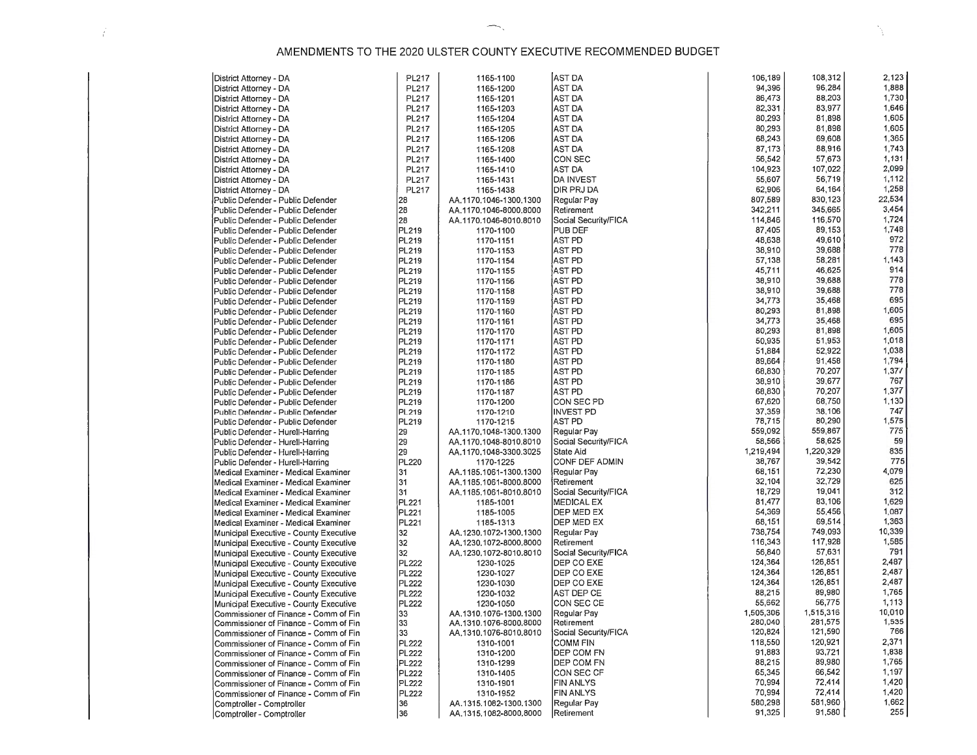| District Attorney - DA                 | PL217        | 1165-1100                 | <b>AST DA</b>        | 106,189   | 108,312   | 2,123  |
|----------------------------------------|--------------|---------------------------|----------------------|-----------|-----------|--------|
|                                        |              |                           |                      |           |           |        |
| District Attorney - DA                 | PL217        | 1165-1200                 | AST DA               | 94,396    | 96,284    | 1,888  |
| District Attorney - DA                 | PL217        | 1165-1201                 | AST DA               | 86,473    | 88,203    | 1,730  |
| District Attorney - DA                 | PL217        | 1165-1203                 | AST DA               | 82,331    | 83,977    | 1,646  |
| District Attorney - DA                 | PL217        | 1165-1204                 | AST DA               | 80,293    | 81,898    | 1,605  |
| District Attorney - DA                 | PL217        | 1165-1205                 | AST DA               | 80,293    | 81,898    | 1,605  |
|                                        | PL217        | 1165-1206                 | AST DA               | 68,243    | 69,608    | 1,365  |
| District Attorney - DA                 |              |                           |                      |           |           |        |
| District Attorney - DA                 | PL217        | 1165-1208                 | AST DA               | 87,173    | 88,916    | 1,743  |
| District Attorney - DA                 | PL217        | 1165-1400                 | CON SEC              | 56,542    | 57,673    | 1,131  |
| District Attorney - DA                 | PL217        | 1165-1410                 | AST DA               | 104,923   | 107,022   | 2,099  |
| District Attorney - DA                 | PL217        | 1165-1431                 | DA INVEST            | 55,607    | 56,719    | 1,112  |
| District Attorney - DA                 | PL217        | 1165-1438                 | DIR PRJ DA           | 62,906    | 64,164    | 1,258  |
|                                        |              |                           |                      | 807,589   | 830,123   | 22,534 |
| Public Defender - Public Defender      | 28           | AA.1170.1046-1300.1300    | Regular Pay          |           |           |        |
| Public Defender - Public Defender      | 28           | AA.1170.1046-8000.8000    | Retirement           | 342,211   | 345,665   | 3,454  |
| Public Defender - Public Defender      | 28           | AA.1170.1046-8010.8010    | Social Security/FICA | 114,846   | 116,570   | 1,724  |
| Public Defender - Public Defender      | PL219        | 1170-1100                 | PUB DEF              | 87,405    | 89,153    | 1,748  |
| Public Defender - Public Defender      | PL219        | 1170-1151                 | AST PD               | 48,638    | 49,610    | 972    |
| Public Defender - Public Defender      | PL219        | 1170-1153                 | AST PD               | 38,910    | 39,688    | 778    |
|                                        | PL219        | 1170-1154                 | AST PD               | 57,138    | 58,281    | 1,143  |
| Public Defender - Public Defender      |              |                           |                      |           |           |        |
| Public Defender - Public Defender      | PL219        | 1170-1155                 | AST PD               | 45,711    | 46,625    | 914    |
| Public Defender - Public Defender      | PL219        | 1170-1156                 | AST PD               | 38,910    | 39,688    | 778    |
| Public Defender - Public Defender      | PL219        | 1170-1158                 | AST PD               | 38,910    | 39,688    | 778    |
| Public Defender - Public Defender      | PL219        | 1170-1159                 | AST PD               | 34,773    | 35,468    | 695    |
| Public Defender - Public Defender      | PL219        | 1170-1160                 | <b>AST PD</b>        | 80,293    | 81,898    | 1,605  |
| Public Defender - Public Defender      | PL219        | 1170-1161                 | <b>AST PD</b>        | 34,773    | 35,468    | 695    |
|                                        | PL219        |                           | AST PD               | 80,293    | 81,898    | 1,605  |
| Public Defender - Public Defender      |              | 1170-1170                 |                      |           |           |        |
| Public Defender - Public Defender      | PL219        | 1170-1171                 | AST PD               | 50,935    | 51,953    | 1,018  |
| Public Defender - Public Defender      | PL219        | 1170-1172                 | AST PD               | 51,884    | 52,922    | 1,038  |
| Public Defender - Public Defender      | PL219        | 1170-1180                 | AST PD               | 89,664    | 91,458    | 1,794  |
| Public Defender - Public Defender      | PL219        | 1170-1185                 | AST PD               | 68,830    | 70,207    | 1,377  |
| Public Defender - Public Defender      | PL219        | 1170-1186                 | AST PD               | 38,910    | 39,677    | 767    |
| Public Defender - Public Defender      | PL219        | 1170-1187                 | AST PD               | 68,830    | 70,207    | 1,377  |
|                                        |              |                           |                      |           |           | 1,130  |
| Public Defender - Public Defender      | PL219        | 1170-1200                 | CON SEC PD           | 67,620    | 68,750    |        |
| Public Defender - Public Defender      | PL219        | 1170-1210                 | INVEST PD            | 37,359    | 38,106    | 747    |
| Public Defender - Public Defender      | PL219        | 1170-1215                 | AST PD               | 78,715    | 80,290    | 1,575  |
| Public Defender - Hurell-Harning       | 29           | AA.1170.1048-1300.1300    | Regular Pay          | 559,092   | 559,867   | 775    |
| Public Defender - Hurell-Harring       | 29           | AA.1170.1048-8010.8010    | Social Security/FICA | 58,566    | 58,625    | 59     |
| Public Defender - Hurell-Harring       | 29           | AA.1170.1048-3300.3025    | State Aid            | 1,219,494 | 1,220,329 | 835    |
|                                        | <b>PL220</b> |                           | CONF DEF ADMIN       | 38,767    | 39,542    | 775    |
| Public Defender - Hurell-Harring       |              | 1170-1225                 |                      |           |           |        |
| Medical Examiner - Medical Examiner    | 31           | AA.1185.1061-1300.1300    | Regular Pay          | 68,151    | 72,230    | 4,079  |
| Medical Examiner - Medical Examiner    | 31           | AA.1185.1061-8000.8000    | Retirement           | 32,104    | 32,729    | 625    |
| Medical Examiner - Medical Examiner    | 31           | AA.1185.1061-8010.8010    | Social Security/FICA | 18,729    | 19,041    | 312    |
| Medical Examiner - Medical Examiner    | PL221        | 1185-1001                 | MEDICAL EX           | 81,477    | 83,106    | 1,629  |
| Medical Examiner - Medical Examiner    | <b>PL221</b> | 1185-1005                 | DEP MED EX           | 54,369    | 55,456    | 1,087  |
| Medical Examiner - Medical Examiner    | <b>PL221</b> | 1185-1313                 | DEP MED EX           | 68,151    | 69,514    | 1,363  |
|                                        |              |                           |                      |           |           | 10,339 |
| Municipal Executive - County Executive | 32           | AA.1230.1072-1300.1300    | Regular Pay          | 738,754   | 749,093   |        |
| Municipal Executive - County Executive | 32           | AA, 1230, 1072-8000, 8000 | Retirement           | 116,343   | 117,928   | 1,585  |
| Municipal Executive - County Executive | 32           | AA.1230.1072-8010.8010    | Social Security/FICA | 56,840    | 57,631    | 791    |
| Municipal Executive - County Executive | <b>PL222</b> | 1230-1025                 | DEP CO EXE           | 124,364   | 126,851   | 2,487  |
| Municipal Executive - County Executive | <b>PL222</b> | 1230-1027                 | DEP CO EXE           | 124,364   | 126,851   | 2,487  |
| Municipal Executive - County Executive | <b>PL222</b> | 1230-1030                 | DEP CO EXE           | 124,364   | 126,851   | 2,487  |
|                                        | <b>PL222</b> | 1230-1032                 | AST DEP CE           | 88,215    | 89,980    | 1,765  |
| Municipal Executive - County Executive |              |                           |                      | 55,662    | 56,775    | 1,113  |
| Municipal Executive - County Executive | PL222        | 1230-1050                 | CON SEC CE           |           |           |        |
| Commissioner of Finance - Comm of Fin  | 33           | AA.1310.1076-1300.1300    | Regular Pay          | 1,505,306 | 1,515,316 | 10,010 |
| lCommissioner of Finance - Comm of Fin | l33          | AA.1310.1076-8000.8000    | Retirement           | 280,040   | 281,575   | 1,535  |
| Commissioner of Finance - Comm of Fin  | 33           | AA,1310,1076-8010,8010    | Social Security/FICA | 120,824   | 121,590   | 766    |
| Commissioner of Finance - Comm of Fin  | <b>PL222</b> | 1310-1001                 | <b>COMM FIN</b>      | 118,550   | 120,921   | 2,371  |
| Commissioner of Finance - Comm of Fin  | <b>PL222</b> | 1310-1200                 | <b>DEP COM FN</b>    | 91,883    | 93,721    | 1,838  |
| Commissioner of Finance - Comm of Fin  | PL222        | 1310-1299                 | DEP COM FN           | 88,215    | 89,980    | 1,765  |
|                                        | PL222        |                           | CON SEC CF           | 65,345    | 66,542    | 1,197  |
| Commissioner of Finance - Comm of Fin  |              | 1310-1405                 |                      |           |           | 1,420  |
| Commissioner of Finance - Comm of Fin  | PL222        | 1310-1901                 | <b>FIN ANLYS</b>     | 70,994    | 72,414    |        |
| Commissioner of Finance - Comm of Fin  | <b>PL222</b> | 1310-1952                 | <b>FIN ANLYS</b>     | 70,994    | 72,414    | 1,420  |
| Comptroller - Comptroller              | 36           | AA.1315.1082-1300.1300    | Regular Pay          | 580,298   | 581,960   | 1,662  |
| Comptroller - Comptroller              | 36           | AA.1315.1082-8000.8000    | Retirement           | 91,325    | 91,580    | 255    |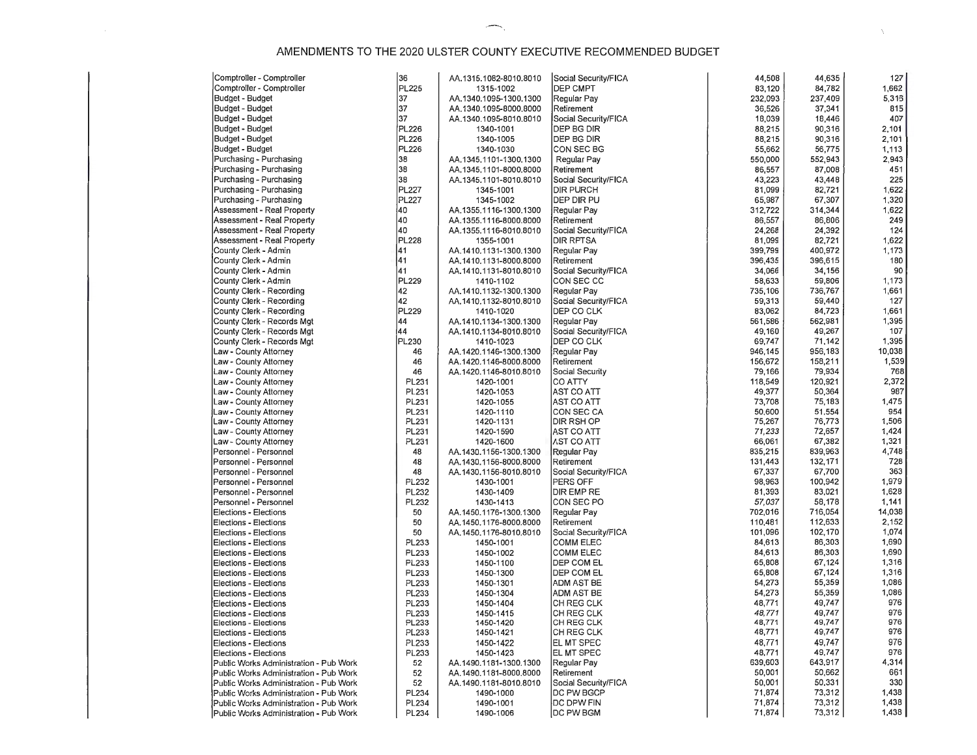| Comptroller - Comptroller              | 36           | AA.1315.1082-8010.8010    | Social Security/FICA | 44.508  | 44,635           | 127            |
|----------------------------------------|--------------|---------------------------|----------------------|---------|------------------|----------------|
| Comptroller - Comptroller              | <b>PL225</b> | 1315-1002                 | DEP CMPT             | 83,120  | 84,782           | 1,662          |
| Budget - Budget                        | 37           | AA.1340.1095-1300.1300    | Regular Pay          | 232,093 | 237,409          | 5,316          |
| Budget - Budget                        | 37           | AA.1340.1095-8000.8000    | Retirement           | 36,526  | 37,341           | 815            |
| Budget - Budget                        | 37           | AA.1340.1095-8010.8010    | Social Security/FICA | 18,039  | 18,446           | 407            |
| Budget - Budget                        | PL226        | 1340-1001                 | DEP BG DIR           | 88,215  | 90,316           | 2,101          |
| Budget - Budget                        | <b>PL226</b> | 1340-1005                 | DEP BG DIR           | 88,215  | 90,316           | 2,101          |
| Budget - Budget                        | <b>PL226</b> | 1340-1030                 | CON SEC BG           | 55,662  | 56,775           | 1,113          |
| Purchasing - Purchasing                | 38           | AA.1345.1101-1300.1300    | Regular Pay          | 550,000 | 552,943          | 2,943          |
| Purchasing - Purchasing                | 38           | AA.1345.1101-8000.8000    | Retirement           | 86,557  | 87,008           | 451            |
| Purchasing - Purchasing                | 38           | AA.1345.1101-8010.8010    | Social Security/FICA | 43,223  | 43,448           | 225            |
| Purchasing - Purchasing                | <b>PL227</b> | 1345-1001                 | <b>DIR PURCH</b>     | 81,099  | 82,721           | 1,622          |
| Purchasing - Purchasing                | PL227        | 1345-1002                 | DEP DIR PU           | 65,987  | 67,307           | 1,320          |
| Assessment - Real Property             | 40           | AA.1355.1116-1300.1300    | Regular Pay          | 312,722 | 314,344          | 1,622          |
| Assessment - Real Property             | 40           | AA.1355,1116-8000.8000    | Retirement           | 86,557  | 86,806           | 249            |
| Assessment - Real Property             | 40           | AA.1355.1116-8010.8010    | Social Security/FICA | 24,268  | 24,392           | 124            |
| Assessment - Real Property             | <b>PL228</b> | 1355-1001                 | <b>DIR RPTSA</b>     | 81,099  | 82,721           | 1,622          |
| County Clerk - Admin                   | 41           | AA.1410.1131-1300.1300    | Regular Pay          | 399,799 | 400,972          | 1,173          |
| County Clerk - Admin                   | 41           | AA.1410.1131-8000.8000    | Retirement           | 396,435 | 396,615          | 180            |
| County Clerk - Admin                   | 41           | AA.1410.1131-8010.8010    | Social Security/FICA | 34,066  | 34,156           | 90             |
| County Clerk - Admin                   | <b>PL229</b> | 1410-1102                 | <b>CON SEC CC</b>    | 58,633  | 59,806           | 1,173          |
| County Clerk - Recording               | 42           | AA.1410.1132-1300.1300    | Regular Pay          | 735,106 | 736,767          | 1,661          |
| County Clerk - Recording               | 42           | AA.1410.1132-8010.8010    | Social Security/FICA | 59,313  | 59,440           | 127            |
| County Clerk - Recording               | <b>PL229</b> | 1410-1020                 | DEP CO CLK           | 83,062  | 84,723           | 1,661          |
| County Clerk - Records Mgt             | 44           | AA.1410.1134-1300.1300    | Regular Pay          | 561,586 | 562,981          | 1,395          |
| County Clerk - Records Mgt             | 44           | AA.1410.1134-8010.8010    | Social Security/FICA | 49,160  | 49,267           | 107            |
| County Clerk - Records Mgt             | PL230        | 1410-1023                 | DEP CO CLK           | 69,747  | 71,142           | 1,395          |
| Law - County Attorney                  | 46           | AA, 1420, 1146-1300, 1300 | Regular Pay          | 946,145 | 956,183          | 10,038         |
| Law - County Attorney                  | 46           | AA.1420.1146-8000.8000    | Retirement           | 156,672 | 158,211          | 1,539          |
| Law - County Attorney                  | 46           | AA.1420.1146-8010.8010    | Social Security      | 79,166  | 79,934           | 768            |
| Law - County Attorney                  | PL231        | 1420-1001                 | CO ATTY              | 118,549 | 120,921          | 2,372          |
| Law - County Attorney                  | PL231        | 1420-1053                 | AST CO ATT           | 49,377  | 50,364           | 987            |
| Law - County Attorney                  | PL231        | 1420-1055                 | AST CO ATT           | 73,708  | 75,183           | 1,475          |
| Law - County Attorney                  | PL231        | 1420-1110                 | CON SEC CA           | 50,600  | 51,554           | 954            |
| Law - County Attorney                  | PL231        | 1420-1131                 | DIR RSH OP           | 75,267  | 76,773           | 1,506          |
| Law - County Attorney                  | PL231        | 1420-1590                 | AST CO ATT           | 71,233  | 72,657           | 1,424          |
| Law - County Attorney                  | PL231        | 1420-1600                 | <b>AST CO ATT</b>    | 66,061  | 67,382           | 1,321          |
| Personnel - Personnel                  | 48           | AA.1430.1156-1300.1300    | Regular Pay          | 835,215 | 839,963          | 4,748          |
| Personnel - Personnel                  | 48           | AA.1430.1156-8000.8000    | Retirement           | 131,443 | 132,171          | 728            |
| Personnel - Personnel                  | 48           | AA.1430.1156-8010.8010    | Social Security/FICA | 67,337  | 67,700           | 363            |
| Personnel - Personnel                  | PL232        | 1430-1001                 | PERS OFF             | 98,963  | 100,942          | 1,979          |
| Personnel - Personnel                  | PL232        | 1430-1409                 | DIR EMP RE           | 81,393  | 83,021           | 1,628          |
| Personnel - Personnel                  | PL232        | 1430-1413                 | CON SEC PO           | 57,037  | 58,178           | 1,141          |
| Elections - Elections                  | 50           | AA.1450.1176-1300.1300    | Regular Pay          | 702,016 | 716,054          | 14,038         |
| Elections - Elections                  | 50           | AA.1450.1176-8000.8000    | Retirement           | 110,481 | 112,633          | 2,152          |
| Elections - Elections                  | 50           | AA, 1450, 1176-8010, 8010 | Social Security/FICA | 101,096 | 102,170          | 1,074          |
| Elections - Elections                  | PL233        | 1450-1001                 | <b>COMM ELEC</b>     | 84,613  | 86,303           | 1,690          |
| Elections - Elections                  | PL233        | 1450-1002                 | <b>COMM ELEC</b>     | 84,613  | 86,303           | 1,690          |
| Elections - Elections                  | PL233        | 1450-1100                 | DEP COM EL           | 65,808  | 67,124           | 1,316          |
| Elections - Elections                  | PL233        | 1450-1300                 | DEP COM EL           | 65,808  | 67,124           | 1,316          |
| Elections - Elections                  | PL233        | 1450-1301                 | ADM AST BE           | 54,273  | 55,359           | 1,086          |
| Elections - Elections                  | PL233        | 1450-1304                 | ADM AST BE           | 54,273  | 55,359           | 1,086          |
| Elections - Elections                  | PL233        | 1450-1404                 | CH REG CLK           | 48,771  | 49,747           | 976            |
| Elections - Elections                  | PL233        | 1450-1415                 | CH REG CLK           | 48,771  | 49,747           | 976            |
| Elections - Elections                  | PL233        | 1450-1420                 | CH REG CLK           | 48,771  | 49,747           | 976<br>976     |
| Elections - Elections                  | PL233        | 1450-1421                 | CH REG CLK           | 48,771  | 49,747           |                |
| Elections - Elections                  | PL233        | 1450-1422                 | EL MT SPEC           | 48,771  | 49,747           | 976            |
| Elections - Elections                  | PL233        | 1450-1423                 | <b>EL MT SPEC</b>    | 48,771  | 49,747           | 976            |
| Public Works Administration - Pub Work | 52           | AA.1490.1181-1300.1300    | Regular Pay          | 639,603 | 643,917          | 4,314          |
| Public Works Administration - Pub Work | 52           | AA.1490.1181-8000.8000    | Retirement           | 50,001  | 50,662           | 661            |
| Public Works Administration - Pub Work | 52           | AA.1490.1181-8010.8010    | Social Security/FICA | 50,001  | 50,331           | 330            |
| Public Works Administration - Pub Work | PL234        | 1490-1000                 | DC PW BGCP           | 71,874  | 73,312<br>73,312 | 1,438<br>1,438 |
| Public Works Administration - Pub Work | PL234        | 1490-1001                 | DC DPW FIN           | 71,874  |                  | 1,438          |
| Public Works Administration - Pub Work | PL234        | 1490-1006                 | DC PW BGM            | 71,874  | 73,312           |                |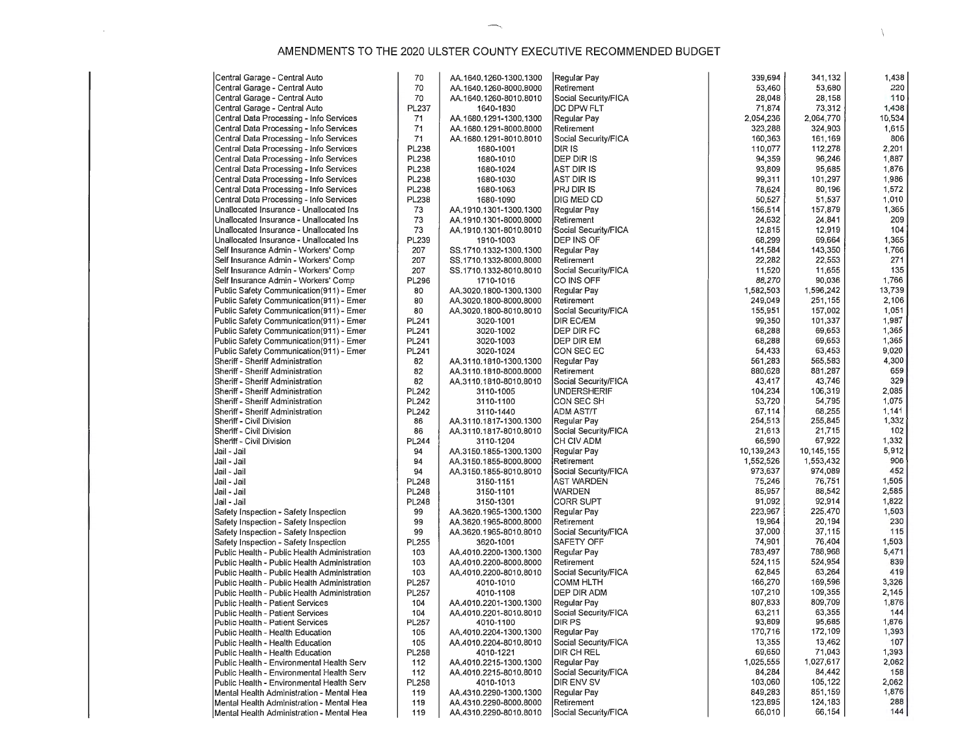| Central Garage - Central Auto                | 70           | AA.1640.1260-1300.1300    | Regular Pay          | 339,694    | 341,132    | 1,438  |
|----------------------------------------------|--------------|---------------------------|----------------------|------------|------------|--------|
| Central Garage - Central Auto                | 70           | AA.1640.1260-8000.8000    | Retirement           | 53,460     | 53,680     | 220    |
| Central Garage - Central Auto                | 70           | AA.1640.1260-8010.8010    | Social Security/FICA | 28,048     | 28,158     | 110    |
| Central Garage - Central Auto                | <b>PL237</b> | 1640-1830                 | DC DPW FLT           | 71,874     | 73,312     | 1,438  |
| Central Data Processing - Info Services      | 71           | AA.1680.1291-1300.1300    | Regular Pay          | 2,054,236  | 2,064,770  | 10,534 |
| Central Data Processing - Info Services      | 71           | AA.1680.1291-8000.8000    | Retirement           | 323,288    | 324,903    | 1,615  |
| Central Data Processing - Info Services      | 71           | AA.1680.1291-8010.8010    | Social Security/FICA | 160,363    | 161,169    | 806    |
| Central Data Processing - Info Services      | <b>PL238</b> | 1680-1001                 | DIR IS               | 110,077    | 112,278    | 2,201  |
| Central Data Processing - Info Services      | PL238        | 1680-1010                 | DEP DIR IS           | 94,359     | 96,246     | 1,887  |
| Central Data Processing - Info Services      | PL238        | 1680-1024                 | AST DIR IS           | 93,809     | 95,685     | 1,876  |
| Central Data Processing - Info Services      | PL238        | 1680-1030                 | AST DIR IS           | 99,311     | 101,297    | 1,986  |
| Central Data Processing - Info Services      | <b>PL238</b> | 1680-1063                 | PRJ DIR IS           | 78,624     | 80,196     | 1,572  |
| Central Data Processing - Info Services      | PL238        | 1680-1090                 | DIG MED CD           | 50,527     | 51,537     | 1,010  |
| Unallocated Insurance - Unallocated Ins      | 73           | AA.1910.1301-1300.1300    | Regular Pay          | 156,514    | 157,879    | 1,365  |
| Unallocated Insurance - Unallocated Ins      | 73           | AA.1910.1301-8000.8000    | lRetirement          | 24,632     | 24,841     | 209    |
| Unallocated Insurance - Unallocated Ins      | 73           | AA.1910.1301-8010.8010    | Social Security/FICA | 12,815     | 12,919     | 104    |
| Unallocated Insurance - Unallocated Ins      | PL239        | 1910-1003                 | DEP INS OF           | 68,299     | 69,664     | 1,365  |
| Self Insurance Admin - Workers' Comp         | 207          | SS.1710.1332-1300.1300    | Regular Pay          | 141,584    | 143,350    | 1,766  |
| Self Insurance Admin - Workers' Comp         | 207          | SS.1710.1332-8000.8000    | Retirement           | 22,282     | 22,553     | 271    |
| Self Insurance Admin - Workers' Comp         | 207          | SS.1710.1332-8010.8010    | Social Security/FICA | 11,520     | 11,655     | 135    |
| Self Insurance Admin - Workers' Comp         | <b>PL296</b> | 1710-1016                 | <b>CO INS OFF</b>    | 88,270     | 90,036     | 1,766  |
| Public Safety Communication(911) - Emer      | 80           | AA, 3020, 1800-1300, 1300 | Regular Pay          | 1,582,503  | 1,596,242  | 13,739 |
| Public Safety Communication(911) - Emer      | 80           | AA,3020,1800-8000,8000    | Retirement           | 249,049    | 251,155    | 2,106  |
| Public Safety Communication(911) - Emer      | 80           | AA.3020.1800-8010.8010    | Social Security/FICA | 155,951    | 157,002    | 1,051  |
| Public Safety Communication(911) - Emer      | PL241        | 3020-1001                 | <b>DIR EC/EM</b>     | 99,350     | 101,337    | 1,987  |
| Public Safety Communication(911) - Emer      | <b>PL241</b> | 3020-1002                 | DEP DIR FC           | 68,288     | 69,653     | 1,365  |
| Public Safety Communication(911) - Emer      | PL241        | 3020-1003                 | <b>DEP DIR EM</b>    | 68,288     | 69,653     | 1,365  |
| Public Safety Communication(911) - Emer      | PL241        | 3020-1024                 | CON SEC EC           | 54,433     | 63,453     | 9,020  |
| Sheriff - Sheriff Administration             | 82           | AA.3110.1810-1300.1300    | Regular Pay          | 561,283    | 565,583    | 4,300  |
| Sheriff - Sheriff Administration             | 82           | AA.3110.1810-8000.8000    | Retirement           | 880,628    | 881,287    | 659    |
| Sheriff - Sheriff Administration             | 82           | AA.3110.1810-8010.8010    | Social Security/FICA | 43,417     | 43,746     | 329    |
| Sheriff - Sheriff Administration             | <b>PL242</b> | 3110-1005                 | <b>UNDERSHERIF</b>   | 104,234    | 106,319    | 2,085  |
| Sheriff - Sheriff Administration             | <b>PL242</b> | 3110-1100                 | ICON SEC SH          | 53,720     | 54,795     | 1,075  |
| Sheriff - Sheriff Administration             | PL242        | 3110-1440                 | <b>ADM AST/T</b>     | 67,114     | 68,255     | 1,141  |
| Sheriff - Civil Division                     | 86           | AA.3110.1817-1300.1300    | Regular Pay          | 254,513    | 255,845    | 1,332  |
| Sheriff - Civil Division                     | 86           | AA.3110.1817-8010.8010    | Social Security/FICA | 21,613     | 21,715     | 102    |
| Sheriff - Civil Division                     | PL244        | 3110-1204                 | CH CIV ADM           | 66,590     | 67,922     | 1,332  |
| Jail - Jail                                  | 94           | AA.3150.1855-1300.1300    | Regular Pay          | 10,139,243 | 10,145,155 | 5,912  |
| Jail - Jail                                  | 94           | AA.3150.1855-8000.8000    | Retirement           | 1,552,526  | 1,553,432  | 906    |
| Jail - Jail                                  | 94           | AA.3150.1855-8010.8010    | Social Security/FICA | 973,637    | 974,089    | 452    |
| Jail - Jail                                  | <b>PL248</b> | 3150-1151                 | <b>AST WARDEN</b>    | 75,246     | 76,751     | 1,505  |
| Jail - Jail                                  | <b>PL248</b> | 3150-1101                 | <b>WARDEN</b>        | 85,957     | 88,542     | 2,585  |
| Jail - Jail                                  | <b>PL248</b> | 3150-1301                 | <b>CORR SUPT</b>     | 91,092     | 92,914     | 1,822  |
| Safety Inspection - Safety Inspection        | 99           | AA.3620.1965-1300.1300    | Regular Pay          | 223,967    | 225,470    | 1,503  |
| Safety Inspection - Safety Inspection        | 99           | AA.3620.1965-8000.8000    | Retirement           | 19,964     | 20,194     | 230    |
| Safety Inspection - Safety Inspection        | 99           | AA.3620.1965-8010.8010    | Social Security/FICA | 37,000     | 37,115     | 115    |
| Safety Inspection - Safety Inspection        | <b>PL255</b> | 3620-1001                 | <b>SAFETY OFF</b>    | 74,901     | 76,404     | 1,503  |
| Public Health - Public Health Administration | 103          | AA.4010.2200-1300.1300    | Regular Pay          | 783,497    | 788,968    | 5,471  |
| Public Health - Public Health Administration | 103          | AA.4010.2200-8000.8000    | Retirement           | 524,115    | 524,954    | 839    |
| Public Health - Public Health Administration | 103          | AA.4010,2200-8010,8010    | Social Security/FICA | 62,845     | 63,264     | 419    |
| Public Health - Public Health Administration | PL257        | 4010-1010                 | <b>COMM HLTH</b>     | 166,270    | 169,596    | 3,326  |
| Public Health - Public Health Administration | PL257        | 4010-1108                 | DEP DIR ADM          | 107,210    | 109,355    | 2,145  |
| Public Health - Patient Services             | 104          | AA.4010.2201-1300.1300    | Regular Pay          | 807,833    | 809,709    | 1,876  |
| Public Health - Patient Services             | 104          | AA.4010.2201-8010.8010    | Social Security/FICA | 63,211     | 63,355     | 144    |
| Public Health - Patient Services             | <b>PL257</b> | 4010-1100                 | <b>DIRPS</b>         | 93,809     | 95,685     | 1,876  |
| Public Health - Health Education             | 105          | AA,4010.2204-1300.1300    | Regular Pay          | 170,716    | 172,109    | 1,393  |
| Public Health - Health Education             | 105          | AA.4010.2204-8010.8010    | Social Security/FICA | 13,355     | 13,462     | 107    |
| Public Health - Health Education             | PL258        | 4010-1221                 | <b>DIR CH REL</b>    | 69,650     | 71,043     | 1,393  |
| Public Health - Environmental Health Serv    | 112          | AA.4010.2215-1300.1300    | Regular Pay          | 1,025,555  | 1,027,617  | 2,062  |
| Public Health - Environmental Health Serv    | 112          | AA.4010.2215-8010.8010    | Social Security/FICA | 84,284     | 84,442     | 158    |
| Public Health - Environmental Health Serv    | PL258        | 4010-1013                 | DIR ENV SV           | 103,060    | 105,122    | 2,062  |
| Mental Health Administration - Mental Hea    | 119          | AA.4310.2290-1300.1300    | Regular Pay          | 849,283    | 851,159    | 1,876  |
| Mental Health Administration - Mental Hea    | 119          | AA.4310.2290-8000.8000    | Retirement           | 123,895    | 124,183    | 288    |
| Mental Health Administration - Mental Hea    | 119          | AA.4310.2290-8010.8010    | Social Security/FICA | 66,010     | 66,154     | 144    |
|                                              |              |                           |                      |            |            |        |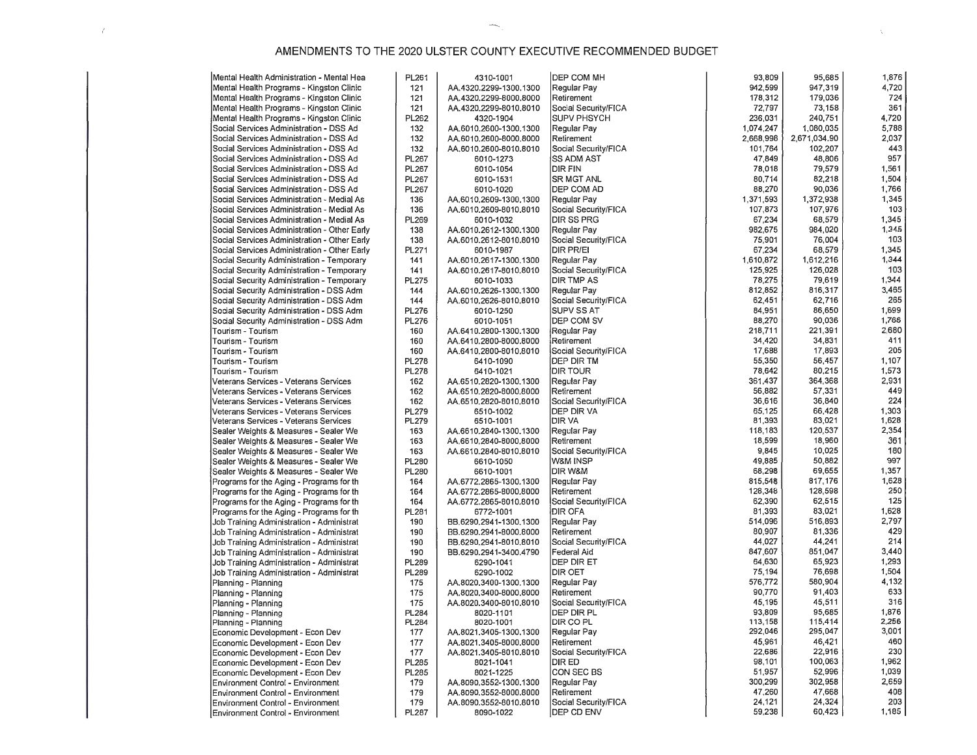| Mental Health Administration - Mental Hea    | PL261        | 4310-1001              | DEP COM MH                     | 93,809    | 95,685       | 1,876          |
|----------------------------------------------|--------------|------------------------|--------------------------------|-----------|--------------|----------------|
| Mental Health Programs - Kingston Clinic     | 121          | AA.4320.2299-1300.1300 | Regular Pay                    | 942,599   | 947,319      | 4,720          |
| Mental Health Programs - Kingston Clinic     | 121          | AA.4320.2299-8000.8000 | Retirement                     | 178,312   | 179,036      | 724            |
| Mental Health Programs - Kingston Clinic     | 121          | AA.4320.2299-8010.8010 | Social Security/FICA           | 72,797    | 73,158       | 361            |
| Mental Health Programs - Kingston Clinic     | PL262        | 4320-1904              | <b>SUPV PHSYCH</b>             | 236,031   | 240,751      | 4,720          |
| Social Services Administration - DSS Ad      | 132          | AA.6010.2600-1300.1300 | Regular Pay                    | 1,074,247 | 1,080,035    | 5,788          |
| Social Services Administration - DSS Ad      | 132          | AA.6010.2600-8000.8000 | Retirement                     | 2,668,998 | 2,671,034.90 | 2,037          |
| Social Services Administration - DSS Ad      | 132          | AA.6010.2600-8010.8010 | Social Security/FICA           | 101,764   | 102,207      | 443            |
| Social Services Administration - DSS Ad      | PL267        | 6010-1273              | <b>SS ADM AST</b>              | 47,849    | 48,806       | 957            |
|                                              | PL267        |                        | DIR FIN                        | 78,018    | 79,579       | 1,561          |
| Social Services Administration - DSS Ad      |              | 6010-1054              |                                |           |              |                |
| Social Services Administration - DSS Ad      | PL267        | 6010-1531              | <b>SR MGT ANL</b>              | 80,714    | 82,218       | 1,504<br>1,766 |
| Social Services Administration - DSS Ad      | PL267        | 6010-1020              | DEP COM AD                     | 88,270    | 90,036       |                |
| Social Services Administration - Medial As   | 136          | AA,6010,2609-1300,1300 | Regular Pay                    | 1,371,593 | 1,372,938    | 1,345          |
| Social Services Administration - Medial As   | 136          | AA,6010,2609-8010,8010 | Social Security/FICA           | 107,873   | 107,976      | 103            |
| Social Services Administration - Medial As   | PL269        | 6010-1032              | DIR SS PRG                     | 67,234    | 68,579       | 1,345          |
| Social Services Administration - Other Early | 138          | AA.6010.2612-1300.1300 | Regular Pay                    | 982,675   | 984,020      | 1,345          |
| Social Services Administration - Other Early | 138          | AA.6010.2612-8010.8010 | Social Security/FICA           | 75,901    | 76,004       | 103            |
| Social Services Administration - Other Early | PL271        | 6010-1987              | DIR PR/EI                      | 67,234    | 68,579       | 1,345          |
| Social Security Administration - Temporary   | 141          | AA.6010.2617-1300.1300 | Regular Pay                    | 1,610,872 | 1,612,216    | 1,344          |
| Social Security Administration - Temporary   | 141          | AA.6010.2617-8010.8010 | Social Security/FICA           | 125,925   | 126,028      | 103            |
| Social Security Administration - Temporary   | <b>PL275</b> | 6010-1033              | <b>DIR TMP AS</b>              | 78,275    | 79,619       | 1,344          |
| Social Security Administration - DSS Adm     | 144          | AA.6010.2626-1300.1300 | Regular Pay                    | 812,852   | 816,317      | 3,465          |
| Social Security Administration - DSS Adm     | 144          | AA.6010.2626-8010.8010 | Social Security/FICA           | 62,451    | 62,716       | 265            |
| Social Security Administration - DSS Adm     | PL276        | 6010-1250              | <b>SUPV SS AT</b>              | 84,951    | 86,650       | 1,699          |
| Social Security Administration - DSS Adm     | <b>PL276</b> | 6010-1051              | IDEP COM SV                    | 88,270    | 90,036       | 1,766          |
| Tourism - Tourism                            | 160          | AA.6410.2800-1300.1300 | Regular Pay                    | 218,711   | 221,391      | 2,680          |
| Tourism - Tourism                            | 160          | AA.6410.2800-8000.8000 | Retirement                     | 34,420    | 34,831       | 411            |
| Tourism - Tourism                            | 160          | AA.6410,2800-8010,8010 | Social Security/FICA           | 17,688    | 17,893       | 205            |
| Tourism - Tourism                            | <b>PL278</b> | 6410-1090              | DEP DIR TM                     | 55,350    | 56,457       | 1,107          |
| Tourism - Tourism                            | <b>PL278</b> | 6410-1021              | DIR TOUR                       | 78,642    | 80,215       | 1,573          |
| Veterans Services - Veterans Services        | 162          | AA.6510.2820-1300.1300 | Regular Pay                    | 361,437   | 364,368      | 2,931          |
| Veterans Services - Veterans Services        | 162          | AA.6510.2820-8000.8000 | Retirement                     | 56,882    | 57,331       | 449            |
| Veterans Services - Veterans Services        | 162          | AA.6510.2820-8010.8010 | Social Security/FICA           | 36,616    | 36,840       | 224            |
| Veterans Services - Veterans Services        | <b>PL279</b> | 6510-1002              | DEP DIR VA                     | 65,125    | 66,428       | 1,303          |
| Veterans Services - Veterans Services        | PL279        | 6510-1001              | DIR VA                         | 81,393    | 83,021       | 1,628          |
| Sealer Weights & Measures - Sealer We        | 163          | AA.6610.2840-1300,1300 | Regular Pay                    | 118,183   | 120,537      | 2,354          |
| Sealer Weights & Measures - Sealer We        | 163          | AA.6610.2840-8000.8000 | Retirement                     | 18,599    | 18,960       | 361            |
| Sealer Weights & Measures - Sealer We        | 163          | AA.6610.2840-8010.8010 | Social Security/FICA           | 9,845     | 10,025       | 180            |
| Sealer Weights & Measures - Sealer We        | PL280        | 6610-1050              | W&M INSP                       | 49,885    | 50,882       | 997            |
| Sealer Weights & Measures - Sealer We        | <b>PL280</b> | 6610-1001              | DIR W&M                        | 68,298    | 69,655       | 1,357          |
| Programs for the Aging - Programs for th     | 164          | AA.6772,2865-1300.1300 | Regular Pay                    | 815,548   | 817,176      | 1,628          |
| Programs for the Aging - Programs for th     | 164          | AA.6772.2865-8000.8000 | Retirement                     | 128,348   | 128,598      | 250            |
| Programs for the Aging - Programs for th     | 164          | AA.6772.2865-8010.8010 | Social Security/FICA           | 62,390    | 62,515       | 125            |
| Programs for the Aging - Programs for th     | <b>PL281</b> | 6772-1001              | DIR OFA                        | 81,393    | 83,021       | 1,628          |
| Job Training Administration - Administrat    | 190          | BB 6290.2941-1300.1300 | Regular Pay                    | 514,096   | 516,893      | 2,797          |
| Job Training Administration - Administrat    | 190          | BB.6290.2941-8000.8000 | Retirement                     | 80,907    | 81,336       | 429            |
| Job Training Administration - Administrat    | 190          | BB.6290,2941-8010,8010 | Social Security/FICA           | 44,027    | 44,241       | 214            |
| Job Training Administration - Administrat    | 190          | BB.6290.2941-3400.4790 | Federal Aid                    | 847,607   | 851,047      | 3,440          |
| Job Training Administration - Administrat    | PL289        | 6290-1041              | DEP DIR ET                     | 64,630    | 65,923       | 1,293          |
| Job Training Administration - Administrat    | PL289        | 6290-1002              | DIR OET                        | 75,194    | 76,698       | 1,504          |
| Planning - Planning                          | 175          | AA.8020.3400-1300.1300 | Regular Pay                    | 576,772   | 580,904      | 4,132          |
|                                              | 175          | AA.8020.3400-8000.8000 | Retirement                     | 90,770    | 91,403       | 633            |
| Planning - Planning                          | 175          | AA.8020.3400-8010.8010 | Social Security/FICA           | 45,195    | 45,511       | 316            |
| Planning - Planning                          | PL284        | 8020-1101              | DEP DIR PL                     | 93,809    | 95,685       | 1,876          |
| Planning - Planning<br>Planning - Planning   | PL284        | 8020-1001              | DIR CO PL                      | 113,158   | 115,414      | 2.256          |
| Economic Development - Econ Dev              | 177          | AA.8021.3405-1300.1300 | Regular Pay                    | 292,046   | 295,047      | 3,001          |
| Economic Development - Econ Dev              |              | AA.8021.3405-8000.8000 | Retirement                     | 45,961    | 46,421       | 460            |
|                                              | 177          | AA.8021.3405-8010.8010 |                                | 22,686    | 22,916       | 230            |
| Economic Development - Econ Dev              | 177          |                        | Social Security/FICA<br>DIR ED | 98,101    | 100,063      | 1,962          |
| Economic Development - Econ Dev              | PL285        | 8021-1041              |                                |           | 52,996       | 1,039          |
| Economic Development - Econ Dev              | PL285        | 8021-1225              | CON SEC BS                     | 51,957    | 302,958      | 2,659          |
| Environment Control - Environment            | 179          | AA.8090.3552-1300.1300 | Regular Pay                    | 300,299   | 47,668       | 408            |
| Environment Control - Environment            | 179          | AA.8090,3552-8000.8000 | Retirement                     | 47,260    |              | 203            |
| Environment Control - Environment            | 179          | AA.8090.3552-8010.8010 | Social Security/FICA           | 24,121    | 24,324       | 1,185          |
| Environment Control - Environment            | PL287        | 8090-1022              | <b>DEP CD ENV</b>              | 59,238    | 60,423       |                |

)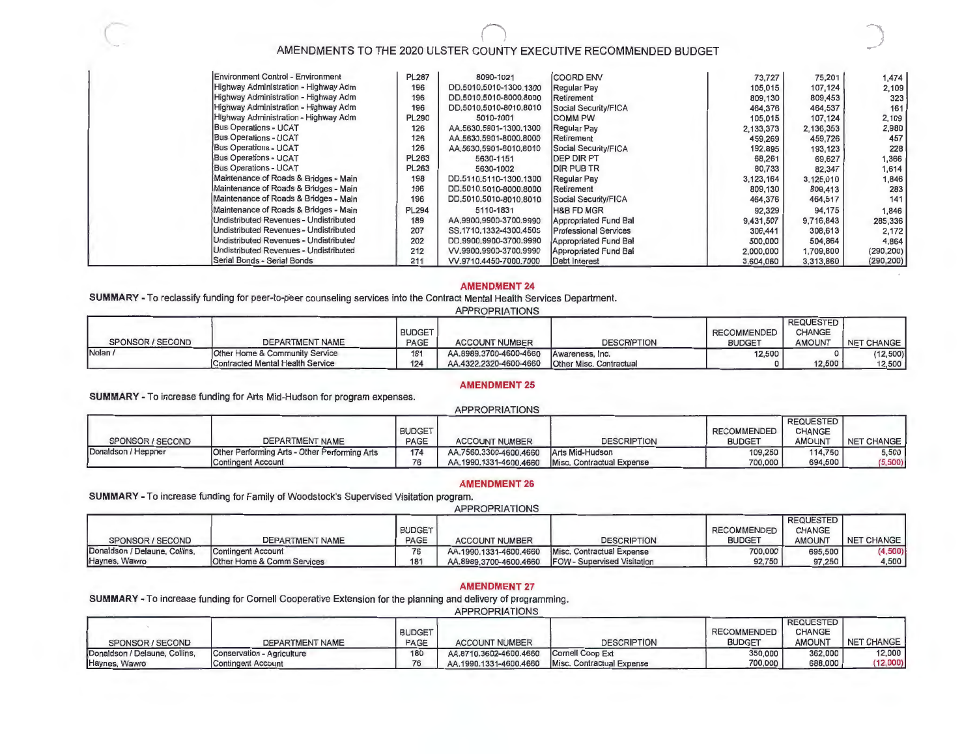-~ *)* 

| <b>Environment Control - Environment</b> | <b>PL287</b> | 8090-1021              | <b>COORD ENV</b>             | 73,727    | 75,201    | 1,474      |
|------------------------------------------|--------------|------------------------|------------------------------|-----------|-----------|------------|
| Highway Administration - Highway Adm     | 196          | DD.5010.5010-1300.1300 | Regular Pay                  | 105,015   | 107,124   | 2,109      |
| Highway Administration - Highway Adm     | 196          | DD.5010.5010-8000.8000 | Retirement                   | 809,130   | 809,453   | 323        |
| Highway Administration - Highway Adm     | 196          | DD,5010,5010-8010,8010 | Social Security/FICA         | 464,376   | 464,537   | 161        |
| Highway Administration - Highway Adm     | <b>PL290</b> | 5010-1001              | <b>COMM PW</b>               | 105,015   | 107,124   | 2,109      |
| <b>Bus Operations - UCAT</b>             | 126          | AA.5630.5901-1300.1300 | <b>Regular Pay</b>           | 2,133,373 | 2.136,353 | 2,980      |
| <b>Bus Operations - UCAT</b>             | 126          | AA.5630.5901-8000.8000 | Retirement                   | 459,269   | 459,726   | 457        |
| <b>Bus Operations - UCAT</b>             | 126          | AA.5630.5901-8010.8010 | Social Security/FICA         | 192,895   | 193,123   | 228        |
| Bus Operations - UCAT                    | PL263        | 5630-1151              | <b>DEP DIR PT</b>            | 68,261    | 69,627    | 1,366      |
| Bus Operations - UCAT                    | PL263        | 5630-1002              | <b>DIR PUB TR</b>            | 80,733    | 82,347    | 1,614      |
| Maintenance of Roads & Bridges - Main    | 198          | DD.5110.5110-1300.1300 | Regular Pay                  | 3,123,164 | 3,125,010 | 1,846      |
| Maintenance of Roads & Bridges - Main    | 196          | DD.5010.5010-8000.8000 | Retirement                   | 809,130   | 809,413   | 283        |
| Maintenance of Roads & Bridges - Main    | 196          | DD.5010.5010-8010.8010 | Social Security/FICA         | 464,376   | 464,517   | 141        |
| Maintenance of Roads & Bridges - Main    | <b>PL294</b> | 5110-1831              | <b>H&amp;B FD MGR</b>        | 92,329    | 94,175    | 1,846      |
| Undistributed Revenues - Undistributed   | 189          | AA,9900,9900-3700,9990 | Appropriated Fund Bal        | 9,431,507 | 9,716,843 | 285,336    |
| Undistributed Revenues - Undistributed   | 207          | SS.1710.1332-4300.4505 | <b>Professional Services</b> | 306,441   | 308,613   | 2,172      |
| Undistributed Revenues - Undistributed   | 202          | DD.9900.9900-3700.9990 | Appropriated Fund Bal        | 500,000   | 504,864   | 4,864      |
| Undistributed Revenues - Undistributed   | 212          | VV.9900.9900-3700.9990 | Appropriated Fund Bal        | 2,000,000 | 1,709,800 | (290, 200) |
| Serial Bonds - Serial Bonds              | 211          | VV.9710.4450-7000.7000 | Debt Interest                | 3,604,060 | 3,313,860 | (290, 200) |

#### **AMENDMENT 24**

SUMMARY - To reclassify funding for peer-to-peer counseling services into the Contract Mental Health Services Department. APPROPRIATIONS

 $\overline{\phantom{a}}$ 

 $\lambda$ 

|                  | <b>APPRUPRIATIONS</b>                   |               |                        |                                |                    |                                   |            |  |  |  |  |  |
|------------------|-----------------------------------------|---------------|------------------------|--------------------------------|--------------------|-----------------------------------|------------|--|--|--|--|--|
|                  |                                         | <b>BUDGET</b> |                        |                                | <b>RECOMMENDED</b> | <b>REQUESTED</b><br><b>CHANGE</b> |            |  |  |  |  |  |
| SPONSOR / SECOND | DEPARTMENT NAME                         | PAGE          | <b>ACCOUNT NUMBER</b>  | <b>DESCRIPTION</b>             | <b>BUDGET</b>      | <b>AMOUNT</b>                     | NET CHANGE |  |  |  |  |  |
| Nolan            | Other Home & Community Service          | 181           | AA.8989.3700-4600-4660 | Awareness, Inc.                | 12,500             |                                   | (12,500)   |  |  |  |  |  |
|                  | <b>Contracted Mental Health Service</b> | 124           | AA.4322.2320-4600-4660 | <b>Other Misc. Contractual</b> |                    | 12,500                            | 12,500     |  |  |  |  |  |

#### **AMENDMENT 25**

**SUMMARY** - To increase funding for Arts Mid-Hudson for program expenses.

|                     |                                               |               |                        |                           |                    | <b>REQUESTED</b> |            |
|---------------------|-----------------------------------------------|---------------|------------------------|---------------------------|--------------------|------------------|------------|
|                     |                                               | <b>BUDGET</b> |                        |                           | <b>RECOMMENDED</b> | <b>CHANGE</b>    |            |
| SPONSOR / SECOND    | DEPARTMENT NAME                               | PAGE          | <b>ACCOUNT NUMBER</b>  | <b>DESCRIPTION</b>        | <b>BUDGET</b>      | <b>AMOUNT</b>    | NET CHANGE |
| Donaldson / Heppner | Other Performing Arts - Other Performing Arts | 174           | AA.7560.3300-4600.4660 | Arts Mid-Hudson           | 109,250            | 114,750          | 5,500      |
|                     | Contingent Account                            | 76            | AA.1990.1331-4600.4660 | Misc. Contractual Expense | 700,000            | 694,500          | (5,500)    |

#### **AMENDMENT 26**

**SUMMARY** - To increase funding for Family of Woodstock's Supervised Visitation program.

| <b>APPROPRIATIONS</b> |
|-----------------------|
|-----------------------|

|                               |                            |               |                        |                                  |                    | <b>REQUESTED</b> |                   |
|-------------------------------|----------------------------|---------------|------------------------|----------------------------------|--------------------|------------------|-------------------|
|                               |                            | <b>BUDGET</b> |                        |                                  | <b>RECOMMENDED</b> | CHANGE           |                   |
| SPONSOR / SECOND              | DEPARTMENT NAME            | PAGE          | <b>ACCOUNT NUMBER</b>  | <b>DESCRIPTION</b>               | <b>BUDGET</b>      | <b>AMOUNT</b>    | <b>NET CHANGE</b> |
| Donaldson / Delaune, Collins, | Contingent Account         |               | AA.1990.1331-4600.4660 | Misc. Contractual Expense        | 700,000            | 695,500          | (4,500)           |
| Haynes, Wawro                 | Other Home & Comm Services | 181           | AA.8989.3700-4600.4660 | <b>FOW-Supervised Visitation</b> | 92,750             | 97,250           | 4,500             |

#### **AMENDMENT 27**

**SUMMARY** - To increase funding for Cornell Cooperative Extension for the planning and delivery of programming.

|                               |                            |               | <b>APPROPRIATIONS</b>  |                           |               |                                   |            |
|-------------------------------|----------------------------|---------------|------------------------|---------------------------|---------------|-----------------------------------|------------|
|                               |                            | <b>BUDGET</b> |                        |                           | RECOMMENDED   | <b>REQUESTED</b><br><b>CHANGE</b> |            |
| SPONSOR / SECOND              | DEPARTMENT NAME            | PAGE          | <b>ACCOUNT NUMBER</b>  | <b>DESCRIPTION</b>        | <b>BUDGET</b> | <b>AMOUNT</b>                     | NET CHANGE |
| Donaldson / Delaune, Collins, | Conservation - Agriculture | 180           | AA.8710.3602-4600.4660 | Cornell Coop Ext          | 350,000       | 362,000                           | 12,000     |
| Haynes, Wawro                 | Contingent Account         | 76            | AA.1990.1331-4600.4660 | Misc. Contractual Expense | 700,000       | 688,000                           | (12,000)   |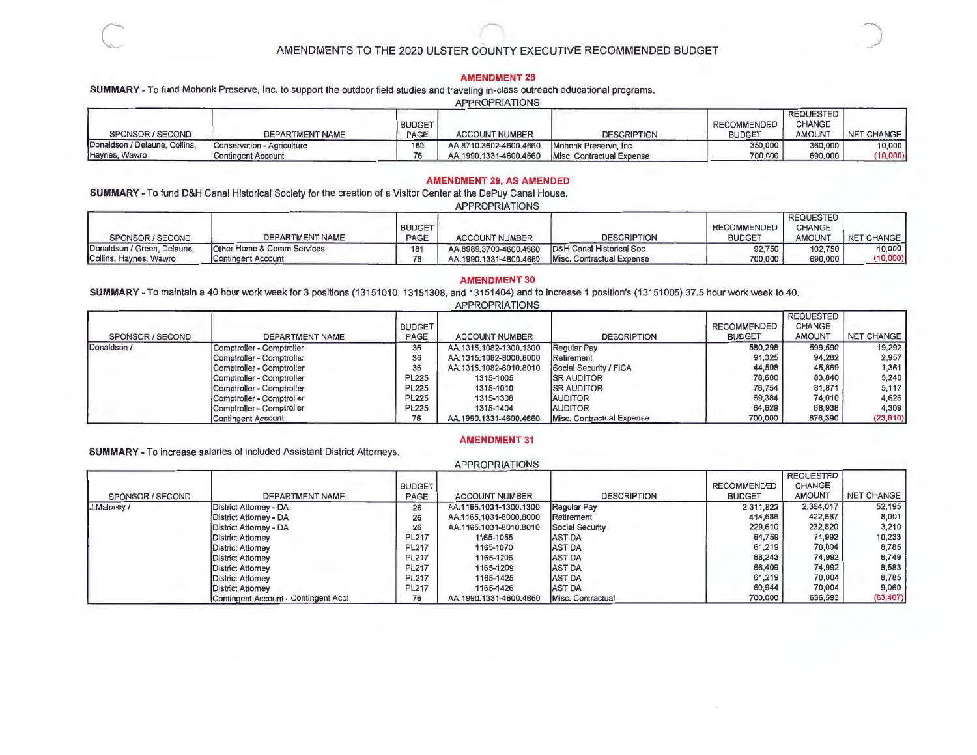*)* 

#### **AMENDMENT 28**

**SUMMARY** - To fund Mohonk Preserve, Inc. to support the outdoor field studies and traveling in-class outreach educational programs.

| <b>APPROPRIATIONS</b> |
|-----------------------|
|-----------------------|

|                               |                            |               |                        |                           |                    | <b>REQUESTED</b> |            |
|-------------------------------|----------------------------|---------------|------------------------|---------------------------|--------------------|------------------|------------|
|                               |                            | <b>BUDGET</b> |                        |                           | <b>RECOMMENDED</b> | <b>CHANGE</b>    |            |
| SPONSOR / SECOND              | DEPARTMENT NAME            | PAGE          | <b>ACCOUNT NUMBER</b>  | <b>DESCRIPTION</b>        | <b>BUDGET</b>      | <b>AMOUNT</b>    | NET CHANGE |
| Donaldson / Delaune, Collins. | Conservation - Agriculture | 180           | AA.8710.3602-4600.4660 | Mohonk Preserve, Inc.     | 350,000            | 360,000          | 10,000     |
| Haynes, Wawro                 | <b>Contingent Account</b>  | 76            | AA.1990.1331-4600.4660 | Misc. Contractual Expense | 700,000            | 690,000          | (10,000)   |

#### **AMENDMENT 29, AS AMENDED**

**SUMMARY** - To fund D&H Canal Historical Society for the creation of a Visitor Center at the DePuy Canal House. APPROPRIATIONS

| <b>APPRUPRIATIONS</b>       |                                       |               |                        |                           |                    |                  |            |  |  |  |  |  |
|-----------------------------|---------------------------------------|---------------|------------------------|---------------------------|--------------------|------------------|------------|--|--|--|--|--|
|                             |                                       |               |                        |                           |                    | <b>REQUESTED</b> |            |  |  |  |  |  |
|                             |                                       | <b>BUDGET</b> |                        |                           | <b>RECOMMENDED</b> | CHANGE           |            |  |  |  |  |  |
| SPONSOR / SECOND            | DEPARTMENT NAME                       | PAGE          | <b>ACCOUNT NUMBER</b>  | <b>DESCRIPTION</b>        | <b>BUDGET</b>      | <b>AMOUNT</b>    | NET CHANGE |  |  |  |  |  |
| Donaldson / Green, Delaune. | <b>Other Home &amp; Comm Services</b> | 181           | AA.8989.3700-4600.4660 | D&H Canal Historical Soc  | 92.750             | 102.750          | 10,000     |  |  |  |  |  |
| Collins, Haynes, Wawro      | Contingent Account                    |               | AA.1990.1331-4600.4660 | Misc. Contractual Expense | 700,000            | 690,000          | (10,000)   |  |  |  |  |  |

#### **AMENDMENT 30**

**SUMMARY** - To maintain a 40 hour work week for 3 positions (13151010, 13151308, and 13151404) and to increase 1 position's (13151005) 37.5 hour work week to 40.

| <b>APPROPRIATIONS</b> |  |
|-----------------------|--|
|-----------------------|--|

|                  |                           |               |                        |                           |                    | <b>REQUESTED</b> |                   |
|------------------|---------------------------|---------------|------------------------|---------------------------|--------------------|------------------|-------------------|
|                  |                           | <b>BUDGET</b> |                        |                           | <b>RECOMMENDED</b> | CHANGE           |                   |
| SPONSOR / SECOND | DEPARTMENT NAME           | PAGE          | <b>ACCOUNT NUMBER</b>  | <b>DESCRIPTION</b>        | <b>BUDGET</b>      | <b>AMOUNT</b>    | <b>NET CHANGE</b> |
| Donaldson /      | Comptroller - Comptroller | 36            | AA.1315.1082-1300.1300 | Regular Pay               | 580,298            | 599,590          | 19,292            |
|                  | Comptroller - Comptroller | 36            | AA.1315.1082-8000.8000 | Retirement                | 91,325             | 94,282           | 2,957             |
|                  | Comptroller - Comptroller | 36            | AA.1315,1082-8010.8010 | Social Security / FICA    | 44,508             | 45,869           | 1,361             |
|                  | Comptroller - Comptroller | <b>PL225</b>  | 1315-1005              | <b>ISR AUDITOR</b>        | 78,600             | 83,840           | 5,240             |
|                  | Comptroller - Comptroller | <b>PL225</b>  | 1315-1010              | <b>SR AUDITOR</b>         | 76,754             | 81,871           | 5,117             |
|                  | Comptroller - Comptroller | <b>PL225</b>  | 1315-1308              | <b>AUDITOR</b>            | 69,384             | 74,010           | 4,626             |
|                  | Comptroller - Comptroller | <b>PL225</b>  | 1315-1404              | <b>AUDITOR</b>            | 64,629             | 68,938           | 4,309             |
|                  | Contingent Account        | 76            | AA.1990.1331-4600.4660 | Misc. Contractual Expense | 700,000            | 676,390          | (23, 610)         |

#### **AMENDMENT** 31

**SUMMARY** - To increase salaries of included Assistant District Attorneys.

|                  |                                      |               |                        |                    |                    | <b>REQUESTED</b> |                   |
|------------------|--------------------------------------|---------------|------------------------|--------------------|--------------------|------------------|-------------------|
|                  |                                      | <b>BUDGET</b> |                        |                    | <b>RECOMMENDED</b> | CHANGE           |                   |
| SPONSOR / SECOND | DEPARTMENT NAME                      | PAGE          | <b>ACCOUNT NUMBER</b>  | <b>DESCRIPTION</b> | <b>BUDGET</b>      | <b>AMOUNT</b>    | <b>NET CHANGE</b> |
| J.Maloney /      | District Attorney - DA               | 26            | AA.1165.1031-1300.1300 | Regular Pay        | 2,311,822          | 2,364,017        | 52,195            |
|                  | District Attorney - DA               | 26            | AA.1165.1031-8000.8000 | Retirement         | 414,686            | 422,687          | 8,001             |
|                  | District Attorney - DA               | 26            | AA.1165.1031-8010.8010 | Social Security    | 229,610            | 232,820          | 3,210             |
|                  | <b>District Attorney</b>             | <b>PL217</b>  | 1165-1055              | <b>AST DA</b>      | 64.759             | 74,992           | 10,233            |
|                  | <b>District Attorney</b>             | <b>PL217</b>  | 1165-1070              | <b>AST DA</b>      | 61,219             | 70,004           | 8,785             |
|                  | <b>District Attorney</b>             | <b>PL217</b>  | 1165-1206              | <b>AST DA</b>      | 68,243             | 74,992           | 6,749             |
|                  | <b>District Attorney</b>             | <b>PL217</b>  | 1165-1209              | <b>AST DA</b>      | 66,409             | 74,992           | 8,583             |
|                  | <b>District Attorney</b>             | <b>PL217</b>  | 1165-1425              | <b>AST DA</b>      | 61.219             | 70,004           | 8,785             |
|                  | <b>District Attorney</b>             | <b>PL217</b>  | 1165-1426              | <b>AST DA</b>      | 60.944             | 70,004           | 9,060             |
|                  | Contingent Account - Contingent Acct | 76            | AA.1990.1331-4600.4660 | Misc. Contractual  | 700,000            | 636,593          | (63, 407)         |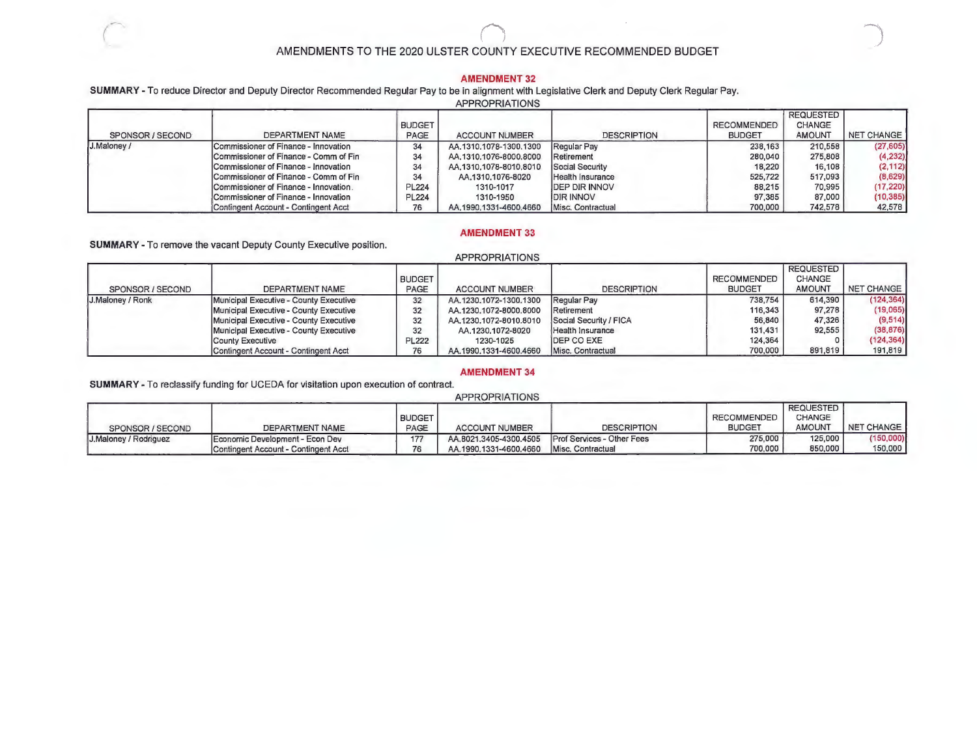-)

#### **AMENDMENT 32**

**SUMMARY** - To reduce Director and Deputy Director Recommended Regular Pay to be in alignment with Legislative Clerk and Deputy Clerk Regular Pay.

#### APPROPRIATIONS

|                  |                                       |               |                        |                       |               | <b>REQUESTED</b> |              |
|------------------|---------------------------------------|---------------|------------------------|-----------------------|---------------|------------------|--------------|
|                  |                                       | <b>BUDGET</b> |                        |                       | RECOMMENDED   | <b>CHANGE</b>    |              |
| SPONSOR / SECOND | DEPARTMENT NAME                       | PAGE          | <b>ACCOUNT NUMBER</b>  | <b>DESCRIPTION</b>    | <b>BUDGET</b> | <b>AMOUNT</b>    | NET CHANGE I |
| J.Maloney /      | Commissioner of Finance - Innovation  | 34            | AA.1310.1078-1300.1300 | Regular Pay           | 238,163       | 210,558          | (27,605)     |
|                  | Commissioner of Finance - Comm of Fin | 34            | AA.1310.1076-8000.8000 | Retirement            | 280,040       | 275,808          | (4, 232)     |
|                  | Commissioner of Finance - Innovation  | 34            | AA.1310.1078-8010.8010 | Social Security       | 18,220        | 16,108           | (2, 112)     |
|                  | Commissioner of Finance - Comm of Fin | 34            | AA.1310.1076-8020      | Health Insurance      | 525,722       | 517,093          | (8,629)      |
|                  | Commissioner of Finance - Innovation. | <b>PL224</b>  | 1310-1017              | <b>IDEP DIR INNOV</b> | 88,215        | 70,995           | (17, 220)    |
|                  | Commissioner of Finance - Innovation  | <b>PL224</b>  | 1310-1950              | <b>JDIR INNOV</b>     | 97.385        | 87,000           | (10, 385)    |
|                  | Contingent Account - Contingent Acct  | 76            | AA.1990.1331-4600.4660 | Misc. Contractual     | 700,000       | 742,578          | 42,578       |

#### **AMENDMENT 33**

### **SUMMARY** - To remove the vacant Deputy County Executive position.

#### APPROPRIATIONS

|                  |                                        |               |                        |                        |               | <b>REQUESTED</b> |            |
|------------------|----------------------------------------|---------------|------------------------|------------------------|---------------|------------------|------------|
|                  |                                        | <b>BUDGET</b> |                        |                        | RECOMMENDED   | <b>CHANGE</b>    |            |
| SPONSOR / SECOND | DEPARTMENT NAME                        | PAGE          | <b>ACCOUNT NUMBER</b>  | <b>DESCRIPTION</b>     | <b>BUDGET</b> | <b>AMOUNT</b>    | NET CHANGE |
| J.Maloney / Ronk | Municipal Executive - County Executive | 32            | AA.1230.1072-1300.1300 | Regular Pay            | 738.754       | 614.390          | (124, 364) |
|                  | Municipal Executive - County Executive | 32            | AA.1230.1072-8000.8000 | Retirement             | 116.343       | 97,278           | (19,065)   |
|                  | Municipal Executive - County Executive | 32            | AA.1230.1072-8010.8010 | Social Security / FICA | 56,840        | 47,326           | (9, 514)   |
|                  | Municipal Executive - County Executive | 32            | AA.1230.1072-8020      | Health Insurance       | 131.431       | 92,555           | (38, 876)  |
|                  | County Executive                       | <b>PL222</b>  | 1230-1025              | <b>IDEP CO EXE</b>     | 124,364       |                  | (124, 364) |
|                  | Contingent Account - Contingent Acct   | 76            | AA.1990.1331-4600.4660 | Misc. Contractual      | 700,000       | 891.819          | 191,819    |

#### **AMENDMENT 34**

**SUMMARY** - To reclassify funding for UCEDA for visitation upon execution of contract.

 $\cap$ 

|                       |                                      |               |                        |                                   |                    | REQUESTED     |            |
|-----------------------|--------------------------------------|---------------|------------------------|-----------------------------------|--------------------|---------------|------------|
|                       |                                      | <b>BUDGET</b> |                        |                                   | <b>RECOMMENDED</b> | CHANGE        |            |
| SPONSOR / SECOND      | DEPARTMENT NAME                      | PAGE          | <b>ACCOUNT NUMBER</b>  | <b>DESCRIPTION</b>                | <b>BUDGET</b>      | <b>AMOUNT</b> | NET CHANGE |
| J.Maloney / Rodriguez | Economic Development - Econ Dev      | 177           | AA.8021.3405-4300.4505 | <b>Prof Services - Other Fees</b> | 275,000            | 125,000       | (150,000)  |
|                       | Contingent Account - Contingent Acct |               | AA.1990.1331-4600.4660 | Misc. Contractual                 | 700,000            | 850,000       | 150,000    |